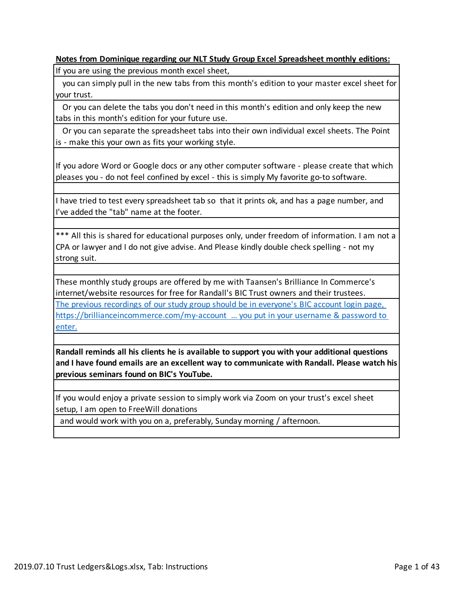#### **Notes from Dominique regarding our NLT Study Group Excel Spreadsheet monthly editions:**

If you are using the previous month excel sheet,

 you can simply pull in the new tabs from this month's edition to your master excel sheet for your trust.

 Or you can delete the tabs you don't need in this month's edition and only keep the new tabs in this month's edition for your future use.

 Or you can separate the spreadsheet tabs into their own individual excel sheets. The Point is - make this your own as fits your working style.

If you adore Word or Google docs or any other computer software - please create that which pleases you - do not feel confined by excel - this is simply My favorite go-to software.

I have tried to test every spreadsheet tab so that it prints ok, and has a page number, and I've added the "tab" name at the footer.

\*\*\* All this is shared for educational purposes only, under freedom of information. I am not a CPA or lawyer and I do not give advise. And Please kindly double check spelling - not my strong suit.

These monthly study groups are offered by me with Taansen's Brilliance In Commerce's internet/website resources for free for Randall's BIC Trust owners and their trustees. The previous recordings of our study group should be in everyone's BIC account login page, https://brillianceincommerce.com/my-account … you put in your username & password to enter.

**Randall reminds all his clients he is available to support you with your additional questions and I have found emails are an excellent way to communicate with Randall. Please watch his previous seminars found on BIC's YouTube.**

If you would enjoy a private session to simply work via Zoom on your trust's excel sheet setup, I am open to FreeWill donations

and would work with you on a, preferably, Sunday morning / afternoon.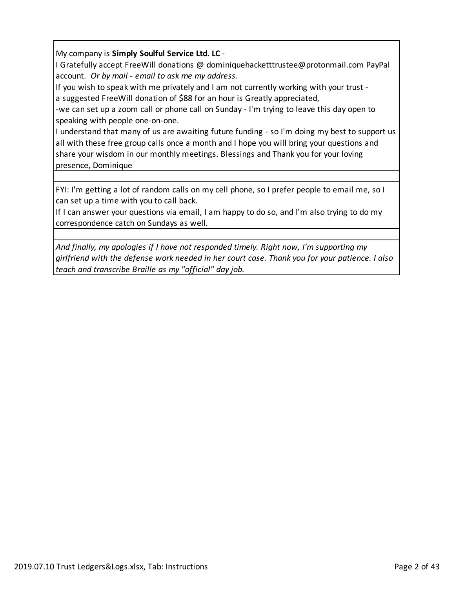### My company is **Simply Soulful Service Ltd. LC** -

I Gratefully accept FreeWill donations @ dominiquehacketttrustee@protonmail.com PayPal account. *Or by mail - email to ask me my address.*

If you wish to speak with me privately and I am not currently working with your trust a suggested FreeWill donation of \$88 for an hour is Greatly appreciated,

-we can set up a zoom call or phone call on Sunday - I'm trying to leave this day open to speaking with people one-on-one.

I understand that many of us are awaiting future funding - so I'm doing my best to support us all with these free group calls once a month and I hope you will bring your questions and share your wisdom in our monthly meetings. Blessings and Thank you for your loving presence, Dominique

FYI: I'm getting a lot of random calls on my cell phone, so I prefer people to email me, so I can set up a time with you to call back.

If I can answer your questions via email, I am happy to do so, and I'm also trying to do my correspondence catch on Sundays as well.

*And finally, my apologies if I have not responded timely. Right now, I'm supporting my girlfriend with the defense work needed in her court case. Thank you for your patience. I also teach and transcribe Braille as my "official" day job.*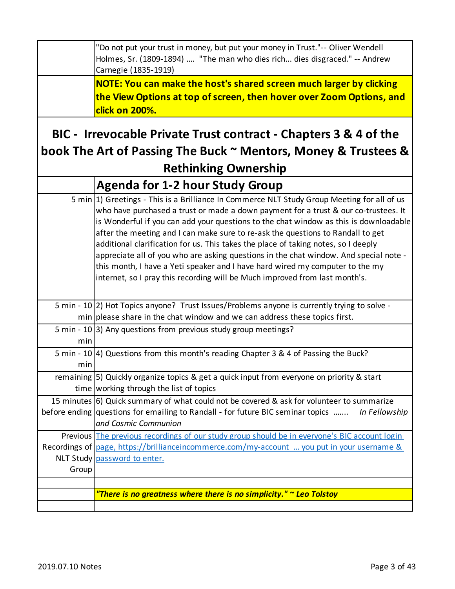| "Do not put your trust in money, but put your money in Trust."-- Oliver Wendell<br>Holmes, Sr. (1809-1894)  "The man who dies rich dies disgraced." -- Andrew<br>Carnegie (1835-1919) |
|---------------------------------------------------------------------------------------------------------------------------------------------------------------------------------------|
| NOTE: You can make the host's shared screen much larger by clicking<br>the View Options at top of screen, then hover over Zoom Options, and<br>click on 200%.                         |

# **BIC - Irrevocable Private Trust contract - Chapters 3 & 4 of the book The Art of Passing The Buck ~ Mentors, Money & Trustees & Rethinking Ownership**

|       | <b>Agenda for 1-2 hour Study Group</b>                                                                                                                                                                                                                                                                                                                                                                                                                                                                                                                                                                                                                                                                        |
|-------|---------------------------------------------------------------------------------------------------------------------------------------------------------------------------------------------------------------------------------------------------------------------------------------------------------------------------------------------------------------------------------------------------------------------------------------------------------------------------------------------------------------------------------------------------------------------------------------------------------------------------------------------------------------------------------------------------------------|
|       | 5 min 1) Greetings - This is a Brilliance In Commerce NLT Study Group Meeting for all of us<br>who have purchased a trust or made a down payment for a trust & our co-trustees. It<br>is Wonderful if you can add your questions to the chat window as this is downloadable<br>after the meeting and I can make sure to re-ask the questions to Randall to get<br>additional clarification for us. This takes the place of taking notes, so I deeply<br>appreciate all of you who are asking questions in the chat window. And special note -<br>this month, I have a Yeti speaker and I have hard wired my computer to the my<br>internet, so I pray this recording will be Much improved from last month's. |
|       | 5 min - 10(2) Hot Topics anyone? Trust Issues/Problems anyone is currently trying to solve -<br>$min$ please share in the chat window and we can address these topics first.                                                                                                                                                                                                                                                                                                                                                                                                                                                                                                                                  |
| min   | 5 min - 10 3) Any questions from previous study group meetings?                                                                                                                                                                                                                                                                                                                                                                                                                                                                                                                                                                                                                                               |
| min   | 5 min - 10 4) Questions from this month's reading Chapter 3 & 4 of Passing the Buck?                                                                                                                                                                                                                                                                                                                                                                                                                                                                                                                                                                                                                          |
|       | remaining 5) Quickly organize topics & get a quick input from everyone on priority & start<br>time working through the list of topics                                                                                                                                                                                                                                                                                                                                                                                                                                                                                                                                                                         |
|       | 15 minutes 6) Quick summary of what could not be covered & ask for volunteer to summarize<br>before ending questions for emailing to Randall - for future BIC seminar topics<br>In Fellowship<br>and Cosmic Communion                                                                                                                                                                                                                                                                                                                                                                                                                                                                                         |
| Group | Previous The previous recordings of our study group should be in everyone's BIC account login<br>Recordings of page, https://brillianceincommerce.com/my-account  you put in your username &<br>NLT Study password to enter.                                                                                                                                                                                                                                                                                                                                                                                                                                                                                  |
|       | "There is no greatness where there is no simplicity." $\sim$ Leo Tolstoy                                                                                                                                                                                                                                                                                                                                                                                                                                                                                                                                                                                                                                      |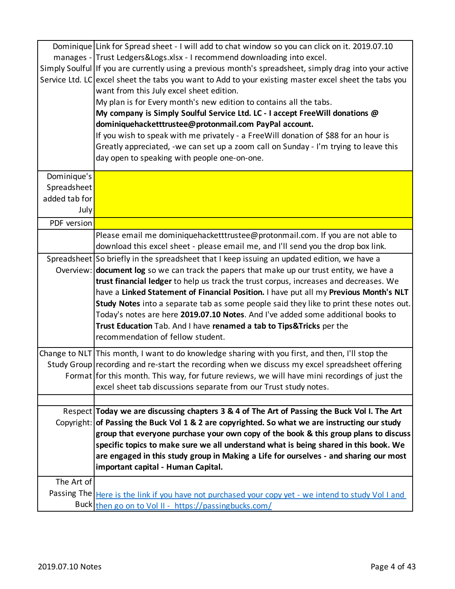|               | Dominique Link for Spread sheet - I will add to chat window so you can click on it. 2019.07.10         |
|---------------|--------------------------------------------------------------------------------------------------------|
|               | manages - Trust Ledgers&Logs.xlsx - I recommend downloading into excel.                                |
|               | Simply Soulful If you are currently using a previous month's spreadsheet, simply drag into your active |
|               | Service Ltd. LC excel sheet the tabs you want to Add to your existing master excel sheet the tabs you  |
|               | want from this July excel sheet edition.                                                               |
|               | My plan is for Every month's new edition to contains all the tabs.                                     |
|               | My company is Simply Soulful Service Ltd. LC - I accept FreeWill donations @                           |
|               | dominiquehacketttrustee@protonmail.com PayPal account.                                                 |
|               | If you wish to speak with me privately - a FreeWill donation of \$88 for an hour is                    |
|               | Greatly appreciated, -we can set up a zoom call on Sunday - I'm trying to leave this                   |
|               | day open to speaking with people one-on-one.                                                           |
| Dominique's   |                                                                                                        |
| Spreadsheet   |                                                                                                        |
| added tab for |                                                                                                        |
| July          |                                                                                                        |
| PDF version   |                                                                                                        |
|               | Please email me dominiquehacketttrustee@protonmail.com. If you are not able to                         |
|               | download this excel sheet - please email me, and I'll send you the drop box link.                      |
|               | Spreadsheet So briefly in the spreadsheet that I keep issuing an updated edition, we have a            |
|               | Overview: document log so we can track the papers that make up our trust entity, we have a             |
|               | trust financial ledger to help us track the trust corpus, increases and decreases. We                  |
|               | have a Linked Statement of Financial Position. I have put all my Previous Month's NLT                  |
|               | Study Notes into a separate tab as some people said they like to print these notes out.                |
|               | Today's notes are here 2019.07.10 Notes. And I've added some additional books to                       |
|               | Trust Education Tab. And I have renamed a tab to Tips& Tricks per the                                  |
|               | recommendation of fellow student.                                                                      |
|               | Change to NLT This month, I want to do knowledge sharing with you first, and then, I'll stop the       |
|               | Study Group recording and re-start the recording when we discuss my excel spreadsheet offering         |
|               | Format for this month. This way, for future reviews, we will have mini recordings of just the          |
|               | excel sheet tab discussions separate from our Trust study notes.                                       |
|               |                                                                                                        |
|               | Respect Today we are discussing chapters 3 & 4 of The Art of Passing the Buck Vol I. The Art           |
|               | Copyright: of Passing the Buck Vol 1 & 2 are copyrighted. So what we are instructing our study         |
|               | group that everyone purchase your own copy of the book & this group plans to discuss                   |
|               | specific topics to make sure we all understand what is being shared in this book. We                   |
|               | are engaged in this study group in Making a Life for ourselves - and sharing our most                  |
|               | important capital - Human Capital.                                                                     |
| The Art of    |                                                                                                        |
|               | Passing The Here is the link if you have not purchased your copy yet - we intend to study Vol I and    |
|               | Buck then go on to Vol II - https://passingbucks.com/                                                  |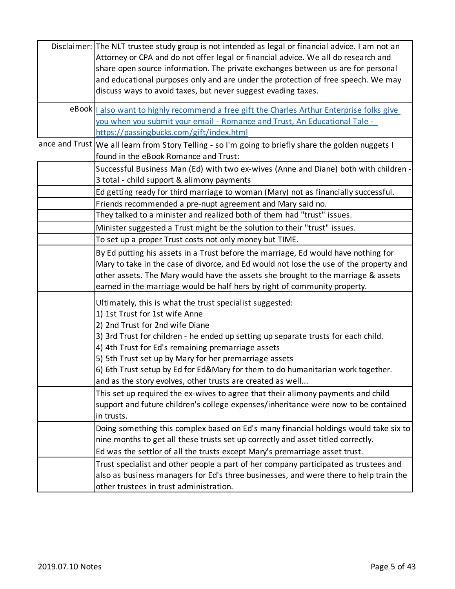| Disclaimer: The NLT trustee study group is not intended as legal or financial advice. I am not an<br>Attorney or CPA and do not offer legal or financial advice. We all do research and<br>share open source information. The private exchanges between us are for personal<br>and educational purposes only and are under the protection of free speech. We may<br>discuss ways to avoid taxes, but never suggest evading taxes.                                                    |
|--------------------------------------------------------------------------------------------------------------------------------------------------------------------------------------------------------------------------------------------------------------------------------------------------------------------------------------------------------------------------------------------------------------------------------------------------------------------------------------|
| eBook 1 also want to highly recommend a free gift the Charles Arthur Enterprise folks give<br>you when you submit your email - Romance and Trust, An Educational Tale -<br>https://passingbucks.com/gift/index.html                                                                                                                                                                                                                                                                  |
| ance and Trust   We all learn from Story Telling - so I'm going to briefly share the golden nuggets I<br>found in the eBook Romance and Trust:<br>Successful Business Man (Ed) with two ex-wives (Anne and Diane) both with children -                                                                                                                                                                                                                                               |
| 3 total - child support & alimony payments<br>Ed getting ready for third marriage to woman (Mary) not as financially successful.<br>Friends recommended a pre-nupt agreement and Mary said no.<br>They talked to a minister and realized both of them had "trust" issues.                                                                                                                                                                                                            |
| Minister suggested a Trust might be the solution to their "trust" issues.<br>To set up a proper Trust costs not only money but TIME.                                                                                                                                                                                                                                                                                                                                                 |
| By Ed putting his assets in a Trust before the marriage, Ed would have nothing for<br>Mary to take in the case of divorce, and Ed would not lose the use of the property and<br>other assets. The Mary would have the assets she brought to the marriage & assets<br>earned in the marriage would be half hers by right of community property.                                                                                                                                       |
| Ultimately, this is what the trust specialist suggested:<br>1) 1st Trust for 1st wife Anne<br>2) 2nd Trust for 2nd wife Diane<br>3) 3rd Trust for children - he ended up setting up separate trusts for each child.<br>4) 4th Trust for Ed's remaining premarriage assets<br>5) 5th Trust set up by Mary for her premarriage assets<br>6) 6th Trust setup by Ed for Ed&Mary for them to do humanitarian work together.<br>and as the story evolves, other trusts are created as well |
| This set up required the ex-wives to agree that their alimony payments and child<br>support and future children's college expenses/inheritance were now to be contained<br>in trusts.                                                                                                                                                                                                                                                                                                |
| Doing something this complex based on Ed's many financial holdings would take six to<br>nine months to get all these trusts set up correctly and asset titled correctly.<br>Ed was the settlor of all the trusts except Mary's premarriage asset trust.                                                                                                                                                                                                                              |
| Trust specialist and other people a part of her company participated as trustees and<br>also as business managers for Ed's three businesses, and were there to help train the<br>other trustees in trust administration.                                                                                                                                                                                                                                                             |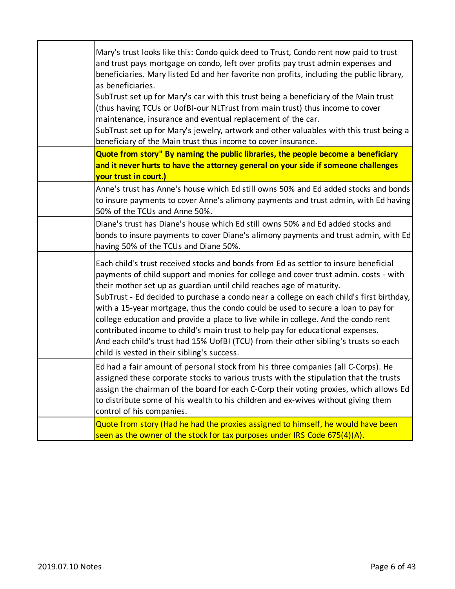| Mary's trust looks like this: Condo quick deed to Trust, Condo rent now paid to trust<br>and trust pays mortgage on condo, left over profits pay trust admin expenses and<br>beneficiaries. Mary listed Ed and her favorite non profits, including the public library,<br>as beneficiaries.<br>SubTrust set up for Mary's car with this trust being a beneficiary of the Main trust<br>(thus having TCUs or UofBI-our NLTrust from main trust) thus income to cover<br>maintenance, insurance and eventual replacement of the car.<br>SubTrust set up for Mary's jewelry, artwork and other valuables with this trust being a<br>beneficiary of the Main trust thus income to cover insurance.                                                       |
|------------------------------------------------------------------------------------------------------------------------------------------------------------------------------------------------------------------------------------------------------------------------------------------------------------------------------------------------------------------------------------------------------------------------------------------------------------------------------------------------------------------------------------------------------------------------------------------------------------------------------------------------------------------------------------------------------------------------------------------------------|
| Quote from story" By naming the public libraries, the people become a beneficiary<br>and it never hurts to have the attorney general on your side if someone challenges<br>your trust in court.)                                                                                                                                                                                                                                                                                                                                                                                                                                                                                                                                                     |
| Anne's trust has Anne's house which Ed still owns 50% and Ed added stocks and bonds<br>to insure payments to cover Anne's alimony payments and trust admin, with Ed having<br>50% of the TCUs and Anne 50%.                                                                                                                                                                                                                                                                                                                                                                                                                                                                                                                                          |
| Diane's trust has Diane's house which Ed still owns 50% and Ed added stocks and<br>bonds to insure payments to cover Diane's alimony payments and trust admin, with Ed<br>having 50% of the TCUs and Diane 50%.                                                                                                                                                                                                                                                                                                                                                                                                                                                                                                                                      |
| Each child's trust received stocks and bonds from Ed as settlor to insure beneficial<br>payments of child support and monies for college and cover trust admin. costs - with<br>their mother set up as guardian until child reaches age of maturity.<br>SubTrust - Ed decided to purchase a condo near a college on each child's first birthday,<br>with a 15-year mortgage, thus the condo could be used to secure a loan to pay for<br>college education and provide a place to live while in college. And the condo rent<br>contributed income to child's main trust to help pay for educational expenses.<br>And each child's trust had 15% UofBI (TCU) from their other sibling's trusts so each<br>child is vested in their sibling's success. |
| Ed had a fair amount of personal stock from his three companies (all C-Corps). He<br>assigned these corporate stocks to various trusts with the stipulation that the trusts<br>assign the chairman of the board for each C-Corp their voting proxies, which allows Ed<br>to distribute some of his wealth to his children and ex-wives without giving them<br>control of his companies.                                                                                                                                                                                                                                                                                                                                                              |
| Quote from story (Had he had the proxies assigned to himself, he would have been<br>seen as the owner of the stock for tax purposes under IRS Code 675(4)(A).                                                                                                                                                                                                                                                                                                                                                                                                                                                                                                                                                                                        |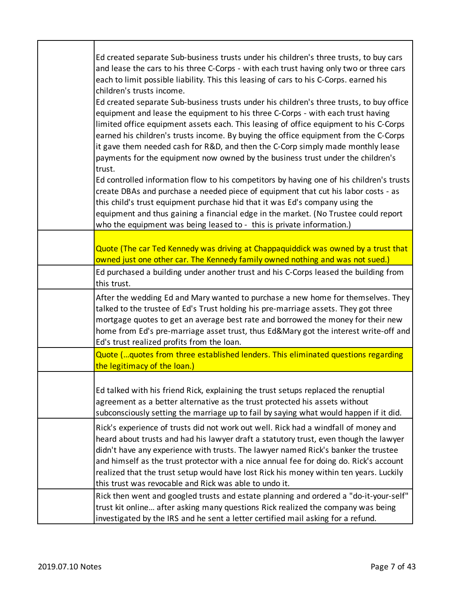| Ed created separate Sub-business trusts under his children's three trusts, to buy cars<br>and lease the cars to his three C-Corps - with each trust having only two or three cars<br>each to limit possible liability. This this leasing of cars to his C-Corps. earned his<br>children's trusts income.<br>Ed created separate Sub-business trusts under his children's three trusts, to buy office<br>equipment and lease the equipment to his three C-Corps - with each trust having<br>limited office equipment assets each. This leasing of office equipment to his C-Corps<br>earned his children's trusts income. By buying the office equipment from the C-Corps<br>it gave them needed cash for R&D, and then the C-Corp simply made monthly lease<br>payments for the equipment now owned by the business trust under the children's<br>trust.<br>Ed controlled information flow to his competitors by having one of his children's trusts<br>create DBAs and purchase a needed piece of equipment that cut his labor costs - as<br>this child's trust equipment purchase hid that it was Ed's company using the<br>equipment and thus gaining a financial edge in the market. (No Trustee could report<br>who the equipment was being leased to - this is private information.) |
|--------------------------------------------------------------------------------------------------------------------------------------------------------------------------------------------------------------------------------------------------------------------------------------------------------------------------------------------------------------------------------------------------------------------------------------------------------------------------------------------------------------------------------------------------------------------------------------------------------------------------------------------------------------------------------------------------------------------------------------------------------------------------------------------------------------------------------------------------------------------------------------------------------------------------------------------------------------------------------------------------------------------------------------------------------------------------------------------------------------------------------------------------------------------------------------------------------------------------------------------------------------------------------------------|
| Quote (The car Ted Kennedy was driving at Chappaquiddick was owned by a trust that<br>owned just one other car. The Kennedy family owned nothing and was not sued.)                                                                                                                                                                                                                                                                                                                                                                                                                                                                                                                                                                                                                                                                                                                                                                                                                                                                                                                                                                                                                                                                                                                        |
| Ed purchased a building under another trust and his C-Corps leased the building from<br>this trust.                                                                                                                                                                                                                                                                                                                                                                                                                                                                                                                                                                                                                                                                                                                                                                                                                                                                                                                                                                                                                                                                                                                                                                                        |
| After the wedding Ed and Mary wanted to purchase a new home for themselves. They<br>talked to the trustee of Ed's Trust holding his pre-marriage assets. They got three<br>mortgage quotes to get an average best rate and borrowed the money for their new<br>home from Ed's pre-marriage asset trust, thus Ed&Mary got the interest write-off and<br>Ed's trust realized profits from the loan.                                                                                                                                                                                                                                                                                                                                                                                                                                                                                                                                                                                                                                                                                                                                                                                                                                                                                          |
| Quote (quotes from three established lenders. This eliminated questions regarding<br>the legitimacy of the loan.)                                                                                                                                                                                                                                                                                                                                                                                                                                                                                                                                                                                                                                                                                                                                                                                                                                                                                                                                                                                                                                                                                                                                                                          |
| Ed talked with his friend Rick, explaining the trust setups replaced the renuptial<br>agreement as a better alternative as the trust protected his assets without<br>subconsciously setting the marriage up to fail by saying what would happen if it did.                                                                                                                                                                                                                                                                                                                                                                                                                                                                                                                                                                                                                                                                                                                                                                                                                                                                                                                                                                                                                                 |
| Rick's experience of trusts did not work out well. Rick had a windfall of money and<br>heard about trusts and had his lawyer draft a statutory trust, even though the lawyer<br>didn't have any experience with trusts. The lawyer named Rick's banker the trustee<br>and himself as the trust protector with a nice annual fee for doing do. Rick's account<br>realized that the trust setup would have lost Rick his money within ten years. Luckily<br>this trust was revocable and Rick was able to undo it.                                                                                                                                                                                                                                                                                                                                                                                                                                                                                                                                                                                                                                                                                                                                                                           |
| Rick then went and googled trusts and estate planning and ordered a "do-it-your-self"<br>trust kit online after asking many questions Rick realized the company was being<br>investigated by the IRS and he sent a letter certified mail asking for a refund.                                                                                                                                                                                                                                                                                                                                                                                                                                                                                                                                                                                                                                                                                                                                                                                                                                                                                                                                                                                                                              |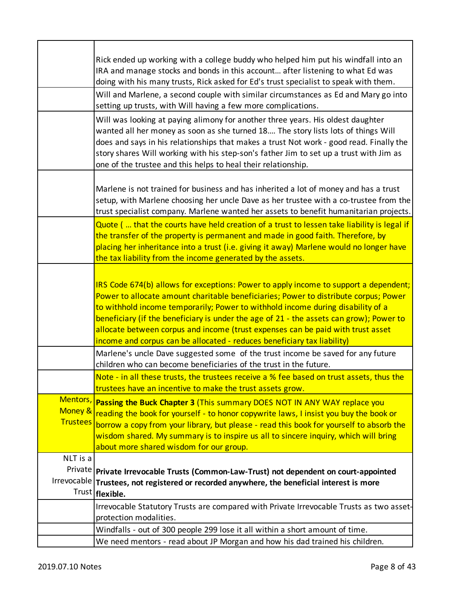|                                        | Rick ended up working with a college buddy who helped him put his windfall into an<br>IRA and manage stocks and bonds in this account after listening to what Ed was<br>doing with his many trusts, Rick asked for Ed's trust specialist to speak with them.<br>Will and Marlene, a second couple with similar circumstances as Ed and Mary go into<br>setting up trusts, with Will having a few more complications.<br>Will was looking at paying alimony for another three years. His oldest daughter<br>wanted all her money as soon as she turned 18 The story lists lots of things Will<br>does and says in his relationships that makes a trust Not work - good read. Finally the<br>story shares Will working with his step-son's father Jim to set up a trust with Jim as |
|----------------------------------------|-----------------------------------------------------------------------------------------------------------------------------------------------------------------------------------------------------------------------------------------------------------------------------------------------------------------------------------------------------------------------------------------------------------------------------------------------------------------------------------------------------------------------------------------------------------------------------------------------------------------------------------------------------------------------------------------------------------------------------------------------------------------------------------|
|                                        | one of the trustee and this helps to heal their relationship.<br>Marlene is not trained for business and has inherited a lot of money and has a trust<br>setup, with Marlene choosing her uncle Dave as her trustee with a co-trustee from the<br>trust specialist company. Marlene wanted her assets to benefit humanitarian projects.                                                                                                                                                                                                                                                                                                                                                                                                                                           |
|                                        | Quote ( that the courts have held creation of a trust to lessen take liability is legal if<br>the transfer of the property is permanent and made in good faith. Therefore, by<br>placing her inheritance into a trust (i.e. giving it away) Marlene would no longer have<br>the tax liability from the income generated by the assets.                                                                                                                                                                                                                                                                                                                                                                                                                                            |
|                                        | IRS Code 674(b) allows for exceptions: Power to apply income to support a dependent;<br>Power to allocate amount charitable beneficiaries; Power to distribute corpus; Power<br>to withhold income temporarily; Power to withhold income during disability of a<br>beneficiary (if the beneficiary is under the age of 21 - the assets can grow); Power to<br>allocate between corpus and income (trust expenses can be paid with trust asset<br>income and corpus can be allocated - reduces beneficiary tax liability)                                                                                                                                                                                                                                                          |
|                                        | Marlene's uncle Dave suggested some of the trust income be saved for any future<br>children who can become beneficiaries of the trust in the future.                                                                                                                                                                                                                                                                                                                                                                                                                                                                                                                                                                                                                              |
|                                        | Note - in all these trusts, the trustees receive a % fee based on trust assets, thus the<br>trustees have an incentive to make the trust assets grow.                                                                                                                                                                                                                                                                                                                                                                                                                                                                                                                                                                                                                             |
| Mentors,<br>Money &<br><b>Trustees</b> | Passing the Buck Chapter 3 (This summary DOES NOT IN ANY WAY replace you<br>reading the book for yourself - to honor copywrite laws, I insist you buy the book or<br>borrow a copy from your library, but please - read this book for yourself to absorb the<br>wisdom shared. My summary is to inspire us all to sincere inquiry, which will bring<br>about more shared wisdom for our group.                                                                                                                                                                                                                                                                                                                                                                                    |
| NLT is a                               |                                                                                                                                                                                                                                                                                                                                                                                                                                                                                                                                                                                                                                                                                                                                                                                   |
|                                        | Private Private Irrevocable Trusts (Common-Law-Trust) not dependent on court-appointed<br>Irrevocable Trustees, not registered or recorded anywhere, the beneficial interest is more<br>Trust   flexible.                                                                                                                                                                                                                                                                                                                                                                                                                                                                                                                                                                         |
|                                        | Irrevocable Statutory Trusts are compared with Private Irrevocable Trusts as two asset-<br>protection modalities.                                                                                                                                                                                                                                                                                                                                                                                                                                                                                                                                                                                                                                                                 |
|                                        | Windfalls - out of 300 people 299 lose it all within a short amount of time.<br>We need mentors - read about JP Morgan and how his dad trained his children.                                                                                                                                                                                                                                                                                                                                                                                                                                                                                                                                                                                                                      |
|                                        |                                                                                                                                                                                                                                                                                                                                                                                                                                                                                                                                                                                                                                                                                                                                                                                   |

 $\overline{\phantom{a}}$ 

٦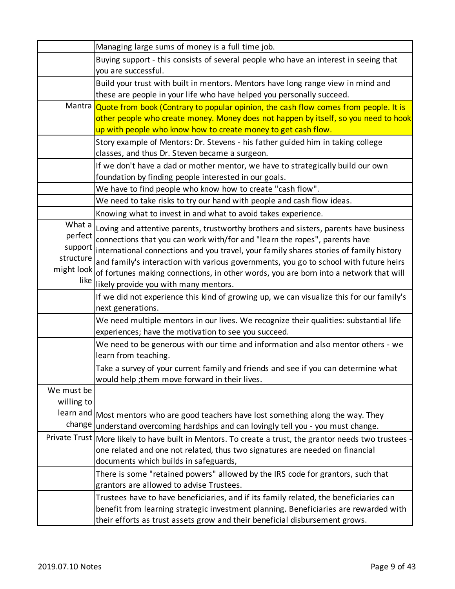|                   | Managing large sums of money is a full time job.                                                        |
|-------------------|---------------------------------------------------------------------------------------------------------|
|                   | Buying support - this consists of several people who have an interest in seeing that                    |
|                   | you are successful.                                                                                     |
|                   | Build your trust with built in mentors. Mentors have long range view in mind and                        |
|                   | these are people in your life who have helped you personally succeed.                                   |
|                   | Mantra Quote from book (Contrary to popular opinion, the cash flow comes from people. It is             |
|                   | other people who create money. Money does not happen by itself, so you need to hook                     |
|                   | up with people who know how to create money to get cash flow.                                           |
|                   | Story example of Mentors: Dr. Stevens - his father guided him in taking college                         |
|                   | classes, and thus Dr. Steven became a surgeon.                                                          |
|                   | If we don't have a dad or mother mentor, we have to strategically build our own                         |
|                   | foundation by finding people interested in our goals.                                                   |
|                   | We have to find people who know how to create "cash flow".                                              |
|                   | We need to take risks to try our hand with people and cash flow ideas.                                  |
|                   | Knowing what to invest in and what to avoid takes experience.                                           |
| What a            | Loving and attentive parents, trustworthy brothers and sisters, parents have business                   |
| perfect           | connections that you can work with/for and "learn the ropes", parents have                              |
| support           | international connections and you travel, your family shares stories of family history                  |
| structure         | and family's interaction with various governments, you go to school with future heirs                   |
| might look        | of fortunes making connections, in other words, you are born into a network that will                   |
| like <sup>l</sup> | likely provide you with many mentors.                                                                   |
|                   | If we did not experience this kind of growing up, we can visualize this for our family's                |
|                   | next generations.                                                                                       |
|                   | We need multiple mentors in our lives. We recognize their qualities: substantial life                   |
|                   | experiences; have the motivation to see you succeed.                                                    |
|                   | We need to be generous with our time and information and also mentor others - we                        |
|                   | learn from teaching.                                                                                    |
|                   | Take a survey of your current family and friends and see if you can determine what                      |
|                   | would help; them move forward in their lives.                                                           |
| We must be        |                                                                                                         |
| willing to        |                                                                                                         |
|                   | learn and Most mentors who are good teachers have lost something along the way. They                    |
| change            | understand overcoming hardships and can lovingly tell you - you must change.                            |
|                   | Private Trust   More likely to have built in Mentors. To create a trust, the grantor needs two trustees |
|                   | one related and one not related, thus two signatures are needed on financial                            |
|                   | documents which builds in safeguards,                                                                   |
|                   | There is some "retained powers" allowed by the IRS code for grantors, such that                         |
|                   | grantors are allowed to advise Trustees.                                                                |
|                   | Trustees have to have beneficiaries, and if its family related, the beneficiaries can                   |
|                   | benefit from learning strategic investment planning. Beneficiaries are rewarded with                    |
|                   | their efforts as trust assets grow and their beneficial disbursement grows.                             |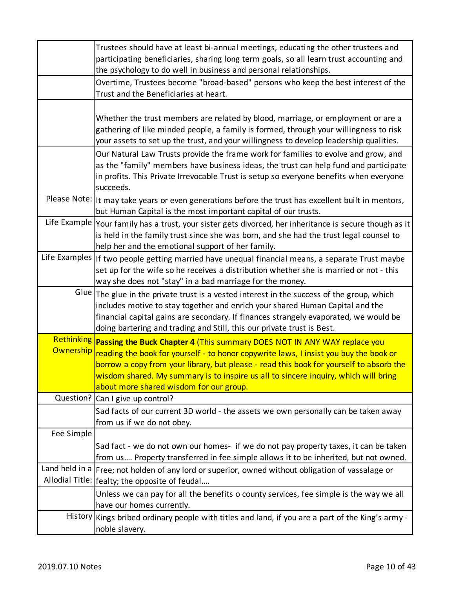|            | Trustees should have at least bi-annual meetings, educating the other trustees and<br>participating beneficiaries, sharing long term goals, so all learn trust accounting and<br>the psychology to do well in business and personal relationships.                                                                                                                                                                  |
|------------|---------------------------------------------------------------------------------------------------------------------------------------------------------------------------------------------------------------------------------------------------------------------------------------------------------------------------------------------------------------------------------------------------------------------|
|            | Overtime, Trustees become "broad-based" persons who keep the best interest of the<br>Trust and the Beneficiaries at heart.                                                                                                                                                                                                                                                                                          |
|            | Whether the trust members are related by blood, marriage, or employment or are a<br>gathering of like minded people, a family is formed, through your willingness to risk<br>your assets to set up the trust, and your willingness to develop leadership qualities.                                                                                                                                                 |
|            | Our Natural Law Trusts provide the frame work for families to evolve and grow, and<br>as the "family" members have business ideas, the trust can help fund and participate<br>in profits. This Private Irrevocable Trust is setup so everyone benefits when everyone<br>succeeds.                                                                                                                                   |
|            | Please Note: It may take years or even generations before the trust has excellent built in mentors,<br>but Human Capital is the most important capital of our trusts.                                                                                                                                                                                                                                               |
|            | Life Example   Your family has a trust, your sister gets divorced, her inheritance is secure though as it<br>is held in the family trust since she was born, and she had the trust legal counsel to<br>help her and the emotional support of her family.                                                                                                                                                            |
|            | Life Examples   If two people getting married have unequal financial means, a separate Trust maybe<br>set up for the wife so he receives a distribution whether she is married or not - this<br>way she does not "stay" in a bad marriage for the money.                                                                                                                                                            |
|            | Glue The glue in the private trust is a vested interest in the success of the group, which<br>includes motive to stay together and enrich your shared Human Capital and the<br>financial capital gains are secondary. If finances strangely evaporated, we would be<br>doing bartering and trading and Still, this our private trust is Best.                                                                       |
|            | Rethinking Passing the Buck Chapter 4 (This summary DOES NOT IN ANY WAY replace you<br>Ownership reading the book for yourself - to honor copywrite laws, I insist you buy the book or<br>borrow a copy from your library, but please - read this book for yourself to absorb the<br>wisdom shared. My summary is to inspire us all to sincere inquiry, which will bring<br>about more shared wisdom for our group. |
|            | Question? Can I give up control?                                                                                                                                                                                                                                                                                                                                                                                    |
|            | Sad facts of our current 3D world - the assets we own personally can be taken away<br>from us if we do not obey.                                                                                                                                                                                                                                                                                                    |
| Fee Simple |                                                                                                                                                                                                                                                                                                                                                                                                                     |
|            | Sad fact - we do not own our homes- if we do not pay property taxes, it can be taken<br>from us Property transferred in fee simple allows it to be inherited, but not owned.                                                                                                                                                                                                                                        |
|            | Land held in a Free; not holden of any lord or superior, owned without obligation of vassalage or                                                                                                                                                                                                                                                                                                                   |
|            | Allodial Title:   fealty; the opposite of feudal<br>Unless we can pay for all the benefits o county services, fee simple is the way we all<br>have our homes currently.                                                                                                                                                                                                                                             |
|            | History Kings bribed ordinary people with titles and land, if you are a part of the King's army -<br>noble slavery.                                                                                                                                                                                                                                                                                                 |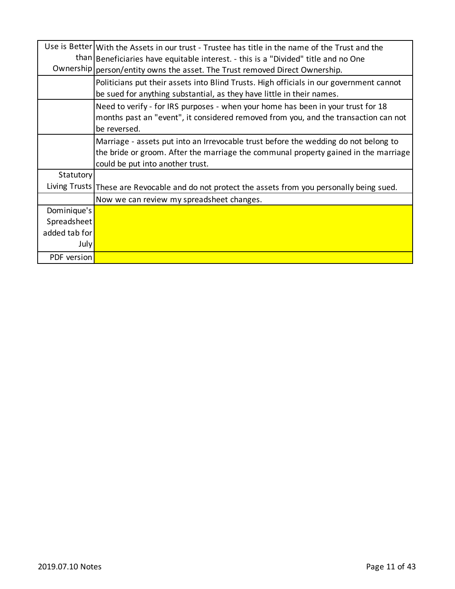|               | Use is Better   With the Assets in our trust - Trustee has title in the name of the Trust and the<br>than Beneficiaries have equitable interest. - this is a "Divided" title and no One                        |
|---------------|----------------------------------------------------------------------------------------------------------------------------------------------------------------------------------------------------------------|
|               | Ownership   person/entity owns the asset. The Trust removed Direct Ownership.                                                                                                                                  |
|               | Politicians put their assets into Blind Trusts. High officials in our government cannot<br>be sued for anything substantial, as they have little in their names.                                               |
|               | Need to verify - for IRS purposes - when your home has been in your trust for 18<br>months past an "event", it considered removed from you, and the transaction can not<br>be reversed.                        |
|               | Marriage - assets put into an Irrevocable trust before the wedding do not belong to<br>the bride or groom. After the marriage the communal property gained in the marriage<br>could be put into another trust. |
| Statutory     |                                                                                                                                                                                                                |
|               | Living Trusts These are Revocable and do not protect the assets from you personally being sued.                                                                                                                |
|               | Now we can review my spreadsheet changes.                                                                                                                                                                      |
| Dominique's   |                                                                                                                                                                                                                |
| Spreadsheet   |                                                                                                                                                                                                                |
| added tab for |                                                                                                                                                                                                                |
| July          |                                                                                                                                                                                                                |
| PDF version   |                                                                                                                                                                                                                |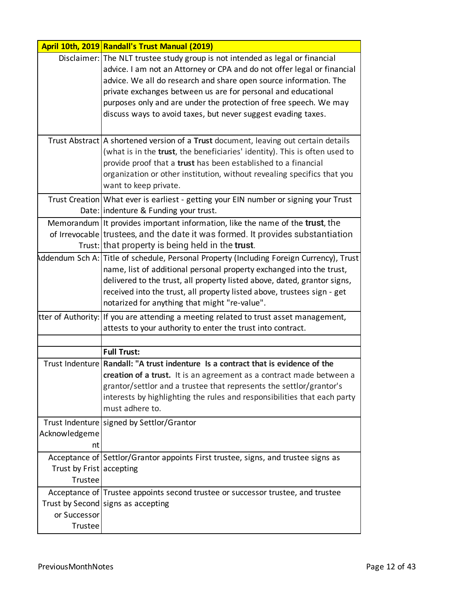|                         | April 10th, 2019 Randall's Trust Manual (2019)                                                                                                                                                                                                                                                                                                                                                                                       |
|-------------------------|--------------------------------------------------------------------------------------------------------------------------------------------------------------------------------------------------------------------------------------------------------------------------------------------------------------------------------------------------------------------------------------------------------------------------------------|
|                         | Disclaimer: The NLT trustee study group is not intended as legal or financial<br>advice. I am not an Attorney or CPA and do not offer legal or financial<br>advice. We all do research and share open source information. The<br>private exchanges between us are for personal and educational<br>purposes only and are under the protection of free speech. We may<br>discuss ways to avoid taxes, but never suggest evading taxes. |
|                         | Trust Abstract   A shortened version of a Trust document, leaving out certain details<br>(what is in the trust, the beneficiaries' identity). This is often used to<br>provide proof that a trust has been established to a financial<br>organization or other institution, without revealing specifics that you<br>want to keep private.                                                                                            |
|                         | Trust Creation What ever is earliest - getting your EIN number or signing your Trust<br>Date: indenture & Funding your trust.                                                                                                                                                                                                                                                                                                        |
|                         | Memorandum It provides important information, like the name of the <b>trust</b> , the<br>of Irrevocable trustees, and the date it was formed. It provides substantiation<br>Trust: that property is being held in the trust.                                                                                                                                                                                                         |
|                         | Addendum Sch A: Title of schedule, Personal Property (Including Foreign Currency), Trust<br>name, list of additional personal property exchanged into the trust,<br>delivered to the trust, all property listed above, dated, grantor signs,<br>received into the trust, all property listed above, trustees sign - get<br>notarized for anything that might "re-value".                                                             |
|                         | tter of Authority: If you are attending a meeting related to trust asset management,<br>attests to your authority to enter the trust into contract.                                                                                                                                                                                                                                                                                  |
|                         |                                                                                                                                                                                                                                                                                                                                                                                                                                      |
|                         | <b>Full Trust:</b>                                                                                                                                                                                                                                                                                                                                                                                                                   |
|                         | Trust Indenture Randall: "A trust indenture Is a contract that is evidence of the<br>creation of a trust. It is an agreement as a contract made between a<br>grantor/settlor and a trustee that represents the settlor/grantor's<br>interests by highlighting the rules and responsibilities that each party<br>must adhere to.                                                                                                      |
| Acknowledgeme           | Trust Indenture signed by Settlor/Grantor<br>nt                                                                                                                                                                                                                                                                                                                                                                                      |
| Trustee                 | Acceptance of Settlor/Grantor appoints First trustee, signs, and trustee signs as<br>Trust by Frist accepting                                                                                                                                                                                                                                                                                                                        |
| or Successor<br>Trustee | Acceptance of Trustee appoints second trustee or successor trustee, and trustee<br>Trust by Second signs as accepting                                                                                                                                                                                                                                                                                                                |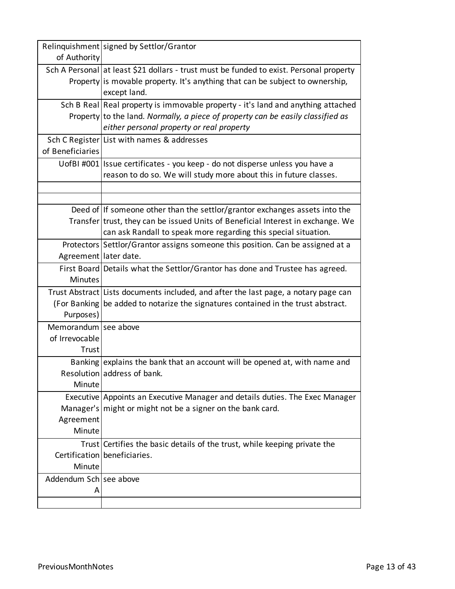|                        | Relinquishment signed by Settlor/Grantor                                                                                     |
|------------------------|------------------------------------------------------------------------------------------------------------------------------|
| of Authority           |                                                                                                                              |
|                        | Sch A Personal at least \$21 dollars - trust must be funded to exist. Personal property                                      |
|                        | Property is movable property. It's anything that can be subject to ownership,<br>except land.                                |
|                        |                                                                                                                              |
|                        | Sch B Real Real property is immovable property - it's land and anything attached                                             |
|                        | Property to the land. Normally, a piece of property can be easily classified as<br>either personal property or real property |
|                        | Sch C Register List with names & addresses                                                                                   |
| of Beneficiaries       |                                                                                                                              |
|                        |                                                                                                                              |
|                        | UofBI #001 Issue certificates - you keep - do not disperse unless you have a                                                 |
|                        | reason to do so. We will study more about this in future classes.                                                            |
|                        |                                                                                                                              |
|                        | Deed of If someone other than the settlor/grantor exchanges assets into the                                                  |
|                        | Transfer trust, they can be issued Units of Beneficial Interest in exchange. We                                              |
|                        | can ask Randall to speak more regarding this special situation.                                                              |
|                        | Protectors Settlor/Grantor assigns someone this position. Can be assigned at a                                               |
| Agreement later date.  |                                                                                                                              |
|                        | First Board Details what the Settlor/Grantor has done and Trustee has agreed.                                                |
| <b>Minutes</b>         |                                                                                                                              |
|                        | Trust Abstract Lists documents included, and after the last page, a notary page can                                          |
|                        | (For Banking be added to notarize the signatures contained in the trust abstract.                                            |
| Purposes)              |                                                                                                                              |
| Memorandum see above   |                                                                                                                              |
| of Irrevocable         |                                                                                                                              |
| Trust                  |                                                                                                                              |
|                        | Banking explains the bank that an account will be opened at, with name and                                                   |
|                        | Resolution address of bank.                                                                                                  |
| Minute                 |                                                                                                                              |
|                        | Executive Appoints an Executive Manager and details duties. The Exec Manager                                                 |
|                        | Manager's might or might not be a signer on the bank card.                                                                   |
| Agreement              |                                                                                                                              |
| Minute                 |                                                                                                                              |
|                        | Trust Certifies the basic details of the trust, while keeping private the                                                    |
|                        | Certification beneficiaries.                                                                                                 |
| Minute                 |                                                                                                                              |
| Addendum Sch see above |                                                                                                                              |
| А                      |                                                                                                                              |
|                        |                                                                                                                              |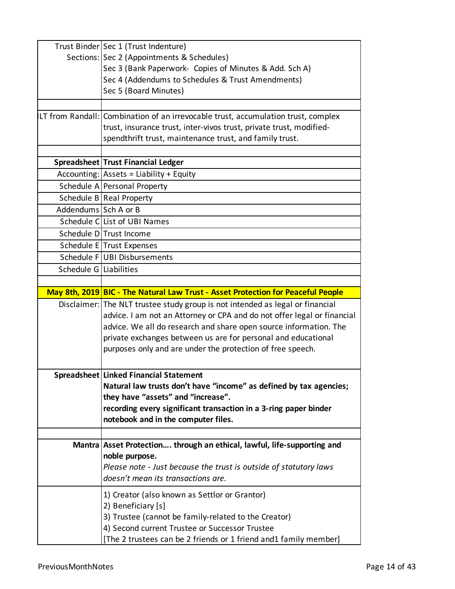|                        | Trust Binder   Sec 1 (Trust Indenture)                                            |
|------------------------|-----------------------------------------------------------------------------------|
|                        | Sections: Sec 2 (Appointments & Schedules)                                        |
|                        | Sec 3 (Bank Paperwork- Copies of Minutes & Add. Sch A)                            |
|                        | Sec 4 (Addendums to Schedules & Trust Amendments)                                 |
|                        | Sec 5 (Board Minutes)                                                             |
|                        |                                                                                   |
|                        | LT from Randall: Combination of an irrevocable trust, accumulation trust, complex |
|                        | trust, insurance trust, inter-vivos trust, private trust, modified-               |
|                        | spendthrift trust, maintenance trust, and family trust.                           |
|                        |                                                                                   |
|                        | Spreadsheet Trust Financial Ledger                                                |
|                        | $Accounting: Assets = Liability + Equity$                                         |
|                        | Schedule A Personal Property                                                      |
|                        | Schedule B Real Property                                                          |
| Addendums Sch A or B   |                                                                                   |
|                        | Schedule CLList of UBI Names                                                      |
|                        | Schedule DITrust Income                                                           |
|                        | Schedule E Trust Expenses                                                         |
|                        | Schedule F UBI Disbursements                                                      |
| Schedule G Liabilities |                                                                                   |
|                        |                                                                                   |
|                        | May 8th, 2019 BIC - The Natural Law Trust - Asset Protection for Peaceful People  |
|                        | Disclaimer: The NLT trustee study group is not intended as legal or financial     |
|                        | advice. I am not an Attorney or CPA and do not offer legal or financial           |
|                        | advice. We all do research and share open source information. The                 |
|                        | private exchanges between us are for personal and educational                     |
|                        | purposes only and are under the protection of free speech.                        |
|                        |                                                                                   |
|                        | Spreadsheet Linked Financial Statement                                            |
|                        | Natural law trusts don't have "income" as defined by tax agencies;                |
|                        | they have "assets" and "increase".                                                |
|                        | recording every significant transaction in a 3-ring paper binder                  |
|                        | notebook and in the computer files.                                               |
|                        |                                                                                   |
|                        | Mantra Asset Protection through an ethical, lawful, life-supporting and           |
|                        | noble purpose.                                                                    |
|                        | Please note - Just because the trust is outside of statutory laws                 |
|                        | doesn't mean its transactions are.                                                |
|                        | 1) Creator (also known as Settlor or Grantor)                                     |
|                        | 2) Beneficiary [s]                                                                |
|                        | 3) Trustee (cannot be family-related to the Creator)                              |
|                        | 4) Second current Trustee or Successor Trustee                                    |
|                        | [The 2 trustees can be 2 friends or 1 friend and1 family member]                  |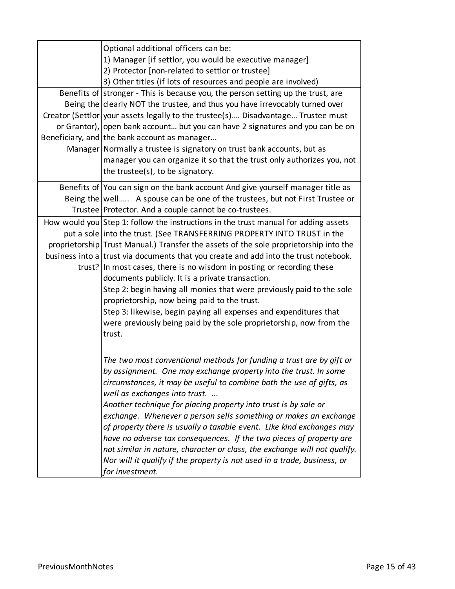| Optional additional officers can be:<br>1) Manager [if settlor, you would be executive manager]<br>2) Protector [non-related to settlor or trustee]<br>3) Other titles (if lots of resources and people are involved)                                                                                                                                                                                                                                           |
|-----------------------------------------------------------------------------------------------------------------------------------------------------------------------------------------------------------------------------------------------------------------------------------------------------------------------------------------------------------------------------------------------------------------------------------------------------------------|
| Benefits of stronger - This is because you, the person setting up the trust, are                                                                                                                                                                                                                                                                                                                                                                                |
| Being the clearly NOT the trustee, and thus you have irrevocably turned over<br>Creator (Settlor   your assets legally to the trustee(s) Disadvantage Trustee must                                                                                                                                                                                                                                                                                              |
| or Grantor), open bank account but you can have 2 signatures and you can be on                                                                                                                                                                                                                                                                                                                                                                                  |
| Beneficiary, and the bank account as manager                                                                                                                                                                                                                                                                                                                                                                                                                    |
| Manager Normally a trustee is signatory on trust bank accounts, but as                                                                                                                                                                                                                                                                                                                                                                                          |
| manager you can organize it so that the trust only authorizes you, not<br>the trustee(s), to be signatory.                                                                                                                                                                                                                                                                                                                                                      |
| Benefits of You can sign on the bank account And give yourself manager title as                                                                                                                                                                                                                                                                                                                                                                                 |
| Being the   well A spouse can be one of the trustees, but not First Trustee or                                                                                                                                                                                                                                                                                                                                                                                  |
| Trustee Protector. And a couple cannot be co-trustees.                                                                                                                                                                                                                                                                                                                                                                                                          |
| How would you Step 1: follow the instructions in the trust manual for adding assets                                                                                                                                                                                                                                                                                                                                                                             |
| put a sole into the trust. (See TRANSFERRING PROPERTY INTO TRUST in the                                                                                                                                                                                                                                                                                                                                                                                         |
| proprietorship Trust Manual.) Transfer the assets of the sole proprietorship into the<br>business into a trust via documents that you create and add into the trust notebook.                                                                                                                                                                                                                                                                                   |
| trust? In most cases, there is no wisdom in posting or recording these                                                                                                                                                                                                                                                                                                                                                                                          |
| documents publicly. It is a private transaction.                                                                                                                                                                                                                                                                                                                                                                                                                |
| Step 2: begin having all monies that were previously paid to the sole                                                                                                                                                                                                                                                                                                                                                                                           |
| proprietorship, now being paid to the trust.                                                                                                                                                                                                                                                                                                                                                                                                                    |
| Step 3: likewise, begin paying all expenses and expenditures that                                                                                                                                                                                                                                                                                                                                                                                               |
| were previously being paid by the sole proprietorship, now from the                                                                                                                                                                                                                                                                                                                                                                                             |
| trust.                                                                                                                                                                                                                                                                                                                                                                                                                                                          |
| The two most conventional methods for funding a trust are by gift or<br>by assignment. One may exchange property into the trust. In some<br>circumstances, it may be useful to combine both the use of gifts, as<br>well as exchanges into trust.                                                                                                                                                                                                               |
| Another technique for placing property into trust is by sale or<br>exchange. Whenever a person sells something or makes an exchange<br>of property there is usually a taxable event. Like kind exchanges may<br>have no adverse tax consequences. If the two pieces of property are<br>not similar in nature, character or class, the exchange will not qualify.<br>Nor will it qualify if the property is not used in a trade, business, or<br>for investment. |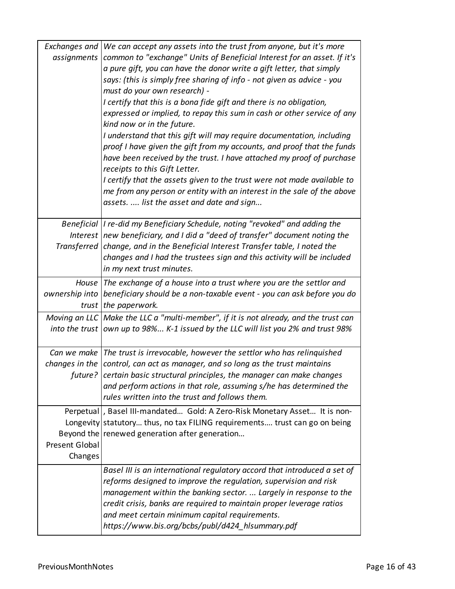| Exchanges and<br>assignments | We can accept any assets into the trust from anyone, but it's more<br>common to "exchange" Units of Beneficial Interest for an asset. If it's<br>a pure gift, you can have the donor write a gift letter, that simply<br>says: (this is simply free sharing of info - not given as advice - you<br>must do your own research) -<br>I certify that this is a bona fide gift and there is no obligation,<br>expressed or implied, to repay this sum in cash or other service of any<br>kind now or in the future.<br>I understand that this gift will may require documentation, including<br>proof I have given the gift from my accounts, and proof that the funds<br>have been received by the trust. I have attached my proof of purchase<br>receipts to this Gift Letter.<br>I certify that the assets given to the trust were not made available to<br>me from any person or entity with an interest in the sale of the above<br>assets.  list the asset and date and sign |
|------------------------------|--------------------------------------------------------------------------------------------------------------------------------------------------------------------------------------------------------------------------------------------------------------------------------------------------------------------------------------------------------------------------------------------------------------------------------------------------------------------------------------------------------------------------------------------------------------------------------------------------------------------------------------------------------------------------------------------------------------------------------------------------------------------------------------------------------------------------------------------------------------------------------------------------------------------------------------------------------------------------------|
|                              | Beneficial  I re-did my Beneficiary Schedule, noting "revoked" and adding the<br>Interest   new beneficiary, and I did a "deed of transfer" document noting the<br>Transferred change, and in the Beneficial Interest Transfer table, I noted the<br>changes and I had the trustees sign and this activity will be included                                                                                                                                                                                                                                                                                                                                                                                                                                                                                                                                                                                                                                                    |
|                              | in my next trust minutes.                                                                                                                                                                                                                                                                                                                                                                                                                                                                                                                                                                                                                                                                                                                                                                                                                                                                                                                                                      |
|                              | House The exchange of a house into a trust where you are the settlor and<br>ownership into beneficiary should be a non-taxable event - you can ask before you do<br>trust the paperwork.                                                                                                                                                                                                                                                                                                                                                                                                                                                                                                                                                                                                                                                                                                                                                                                       |
|                              | Moving an LLC   Make the LLC a "multi-member", if it is not already, and the trust can<br>into the trust own up to 98% K-1 issued by the LLC will list you 2% and trust 98%                                                                                                                                                                                                                                                                                                                                                                                                                                                                                                                                                                                                                                                                                                                                                                                                    |
|                              | Can we make The trust is irrevocable, however the settlor who has relinguished<br>changes in the control, can act as manager, and so long as the trust maintains<br>future? certain basic structural principles, the manager can make changes<br>and perform actions in that role, assuming s/he has determined the<br>rules written into the trust and follows them.                                                                                                                                                                                                                                                                                                                                                                                                                                                                                                                                                                                                          |
| Present Global<br>Changes    | Perpetual  , Basel III-mandated Gold: A Zero-Risk Monetary Asset It is non-<br>Longevity statutory thus, no tax FILING requirements trust can go on being<br>Beyond the renewed generation after generation                                                                                                                                                                                                                                                                                                                                                                                                                                                                                                                                                                                                                                                                                                                                                                    |
|                              | Basel III is an international regulatory accord that introduced a set of<br>reforms designed to improve the regulation, supervision and risk<br>management within the banking sector.  Largely in response to the<br>credit crisis, banks are required to maintain proper leverage ratios<br>and meet certain minimum capital requirements.<br>https://www.bis.org/bcbs/publ/d424_hlsummary.pdf                                                                                                                                                                                                                                                                                                                                                                                                                                                                                                                                                                                |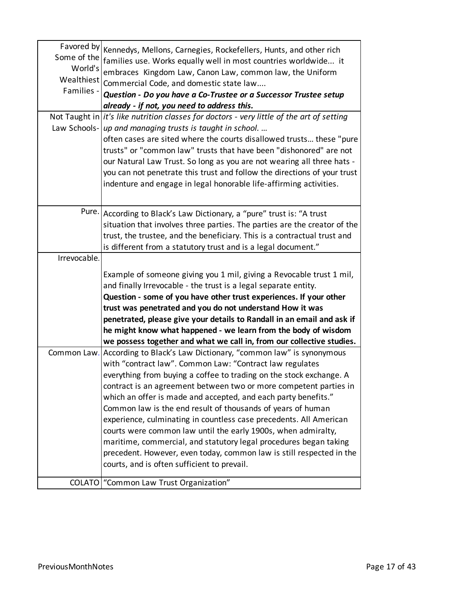| Some of the<br>World's<br>Wealthiest<br>Families - | Favored by Kennedys, Mellons, Carnegies, Rockefellers, Hunts, and other rich<br>families use. Works equally well in most countries worldwide it<br>embraces Kingdom Law, Canon Law, common law, the Uniform<br>Commercial Code, and domestic state law<br>Question - Do you have a Co-Trustee or a Successor Trustee setup<br>already - if not, you need to address this. |
|----------------------------------------------------|---------------------------------------------------------------------------------------------------------------------------------------------------------------------------------------------------------------------------------------------------------------------------------------------------------------------------------------------------------------------------|
|                                                    | Not Taught in $\left  i t \right $ 's like nutrition classes for doctors - very little of the art of setting                                                                                                                                                                                                                                                              |
|                                                    | Law Schools- up and managing trusts is taught in school                                                                                                                                                                                                                                                                                                                   |
|                                                    | often cases are sited where the courts disallowed trusts these "pure<br>trusts" or "common law" trusts that have been "dishonored" are not<br>our Natural Law Trust. So long as you are not wearing all three hats -<br>you can not penetrate this trust and follow the directions of your trust<br>indenture and engage in legal honorable life-affirming activities.    |
|                                                    |                                                                                                                                                                                                                                                                                                                                                                           |
|                                                    | Pure. According to Black's Law Dictionary, a "pure" trust is: "A trust                                                                                                                                                                                                                                                                                                    |
|                                                    | situation that involves three parties. The parties are the creator of the                                                                                                                                                                                                                                                                                                 |
|                                                    | trust, the trustee, and the beneficiary. This is a contractual trust and                                                                                                                                                                                                                                                                                                  |
|                                                    | is different from a statutory trust and is a legal document."                                                                                                                                                                                                                                                                                                             |
| Irrevocable.                                       |                                                                                                                                                                                                                                                                                                                                                                           |
|                                                    | Example of someone giving you 1 mil, giving a Revocable trust 1 mil,                                                                                                                                                                                                                                                                                                      |
|                                                    | and finally Irrevocable - the trust is a legal separate entity.                                                                                                                                                                                                                                                                                                           |
|                                                    | Question - some of you have other trust experiences. If your other                                                                                                                                                                                                                                                                                                        |
|                                                    | trust was penetrated and you do not understand How it was                                                                                                                                                                                                                                                                                                                 |
|                                                    | penetrated, please give your details to Randall in an email and ask if                                                                                                                                                                                                                                                                                                    |
|                                                    | he might know what happened - we learn from the body of wisdom                                                                                                                                                                                                                                                                                                            |
|                                                    | we possess together and what we call in, from our collective studies.                                                                                                                                                                                                                                                                                                     |
|                                                    | Common Law. According to Black's Law Dictionary, "common law" is synonymous                                                                                                                                                                                                                                                                                               |
|                                                    | with "contract law". Common Law: "Contract law regulates                                                                                                                                                                                                                                                                                                                  |
|                                                    | everything from buying a coffee to trading on the stock exchange. A                                                                                                                                                                                                                                                                                                       |
|                                                    | contract is an agreement between two or more competent parties in                                                                                                                                                                                                                                                                                                         |
|                                                    | which an offer is made and accepted, and each party benefits."                                                                                                                                                                                                                                                                                                            |
|                                                    | Common law is the end result of thousands of years of human                                                                                                                                                                                                                                                                                                               |
|                                                    | experience, culminating in countless case precedents. All American                                                                                                                                                                                                                                                                                                        |
|                                                    | courts were common law until the early 1900s, when admiralty,                                                                                                                                                                                                                                                                                                             |
|                                                    | maritime, commercial, and statutory legal procedures began taking                                                                                                                                                                                                                                                                                                         |
|                                                    | precedent. However, even today, common law is still respected in the                                                                                                                                                                                                                                                                                                      |
|                                                    | courts, and is often sufficient to prevail.                                                                                                                                                                                                                                                                                                                               |
|                                                    |                                                                                                                                                                                                                                                                                                                                                                           |
|                                                    | COLATO   "Common Law Trust Organization"                                                                                                                                                                                                                                                                                                                                  |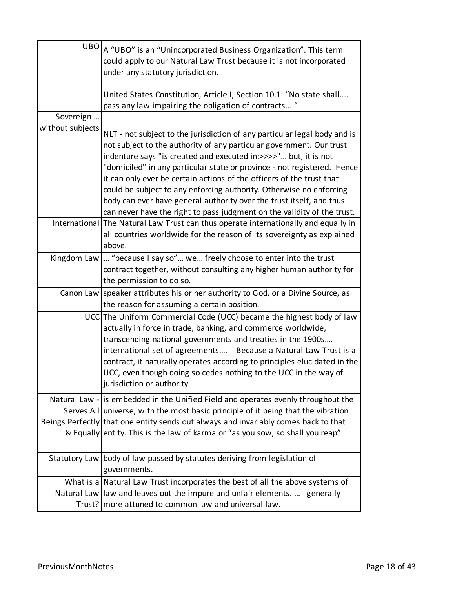|                  | $UBO _A$ "UBO" is an "Unincorporated Business Organization". This term<br>could apply to our Natural Law Trust because it is not incorporated<br>under any statutory jurisdiction.                                                                                                                                                                                                                                                                     |
|------------------|--------------------------------------------------------------------------------------------------------------------------------------------------------------------------------------------------------------------------------------------------------------------------------------------------------------------------------------------------------------------------------------------------------------------------------------------------------|
|                  | United States Constitution, Article I, Section 10.1: "No state shall<br>pass any law impairing the obligation of contracts"                                                                                                                                                                                                                                                                                                                            |
| Sovereign        |                                                                                                                                                                                                                                                                                                                                                                                                                                                        |
| without subjects | NLT - not subject to the jurisdiction of any particular legal body and is<br>not subject to the authority of any particular government. Our trust<br>indenture says "is created and executed in:>>>>" but, it is not<br>"domiciled" in any particular state or province - not registered. Hence<br>it can only ever be certain actions of the officers of the trust that<br>could be subject to any enforcing authority. Otherwise no enforcing        |
|                  | body can ever have general authority over the trust itself, and thus<br>can never have the right to pass judgment on the validity of the trust.                                                                                                                                                                                                                                                                                                        |
|                  | International The Natural Law Trust can thus operate internationally and equally in<br>all countries worldwide for the reason of its sovereignty as explained<br>above.                                                                                                                                                                                                                                                                                |
|                  | Kingdom Law   "because I say so" we freely choose to enter into the trust<br>contract together, without consulting any higher human authority for<br>the permission to do so.                                                                                                                                                                                                                                                                          |
|                  | Canon Law Speaker attributes his or her authority to God, or a Divine Source, as<br>the reason for assuming a certain position.                                                                                                                                                                                                                                                                                                                        |
|                  | UCC The Uniform Commercial Code (UCC) became the highest body of law<br>actually in force in trade, banking, and commerce worldwide,<br>transcending national governments and treaties in the 1900s<br>international set of agreements Because a Natural Law Trust is a<br>contract, it naturally operates according to principles elucidated in the<br>UCC, even though doing so cedes nothing to the UCC in the way of<br>jurisdiction or authority. |
|                  | Natural Law - is embedded in the Unified Field and operates evenly throughout the<br>Serves All universe, with the most basic principle of it being that the vibration<br>Beings Perfectly that one entity sends out always and invariably comes back to that<br>& Equally entity. This is the law of karma or "as you sow, so shall you reap".                                                                                                        |
|                  | Statutory Law body of law passed by statutes deriving from legislation of<br>governments.                                                                                                                                                                                                                                                                                                                                                              |
|                  | What is a Natural Law Trust incorporates the best of all the above systems of<br>Natural Law llaw and leaves out the impure and unfair elements.  generally<br>Trust?   more attuned to common law and universal law.                                                                                                                                                                                                                                  |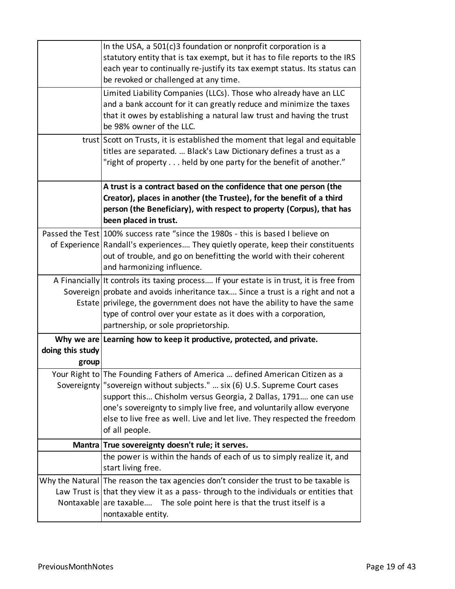|                           | In the USA, a $501(c)3$ foundation or nonprofit corporation is a<br>statutory entity that is tax exempt, but it has to file reports to the IRS<br>each year to continually re-justify its tax exempt status. Its status can<br>be revoked or challenged at any time.                                                                                                                                     |
|---------------------------|----------------------------------------------------------------------------------------------------------------------------------------------------------------------------------------------------------------------------------------------------------------------------------------------------------------------------------------------------------------------------------------------------------|
|                           | Limited Liability Companies (LLCs). Those who already have an LLC<br>and a bank account for it can greatly reduce and minimize the taxes<br>that it owes by establishing a natural law trust and having the trust<br>be 98% owner of the LLC.                                                                                                                                                            |
|                           | trust Scott on Trusts, it is established the moment that legal and equitable<br>titles are separated.  Black's Law Dictionary defines a trust as a<br>"right of property held by one party for the benefit of another."                                                                                                                                                                                  |
|                           | A trust is a contract based on the confidence that one person (the<br>Creator), places in another (the Trustee), for the benefit of a third<br>person (the Beneficiary), with respect to property (Corpus), that has<br>been placed in trust.                                                                                                                                                            |
|                           | Passed the Test 100% success rate "since the 1980s - this is based I believe on<br>of Experience Randall's experiences They quietly operate, keep their constituents<br>out of trouble, and go on benefitting the world with their coherent<br>and harmonizing influence.                                                                                                                                |
|                           | A Financially It controls its taxing process If your estate is in trust, it is free from<br>Sovereign probate and avoids inheritance tax Since a trust is a right and not a<br>Estate privilege, the government does not have the ability to have the same<br>type of control over your estate as it does with a corporation,<br>partnership, or sole proprietorship.                                    |
| doing this study<br>group | Why we are Learning how to keep it productive, protected, and private.                                                                                                                                                                                                                                                                                                                                   |
|                           | Your Right to The Founding Fathers of America  defined American Citizen as a<br>Sovereignty   "sovereign without subjects."  six (6) U.S. Supreme Court cases<br>support this Chisholm versus Georgia, 2 Dallas, 1791 one can use<br>one's sovereignty to simply live free, and voluntarily allow everyone<br>else to live free as well. Live and let live. They respected the freedom<br>of all people. |
|                           | Mantra True sovereignty doesn't rule; it serves.                                                                                                                                                                                                                                                                                                                                                         |
|                           | the power is within the hands of each of us to simply realize it, and<br>start living free.                                                                                                                                                                                                                                                                                                              |
|                           | Why the Natural The reason the tax agencies don't consider the trust to be taxable is<br>Law Trust is that they view it as a pass-through to the individuals or entities that<br>Nontaxable are taxable The sole point here is that the trust itself is a<br>nontaxable entity.                                                                                                                          |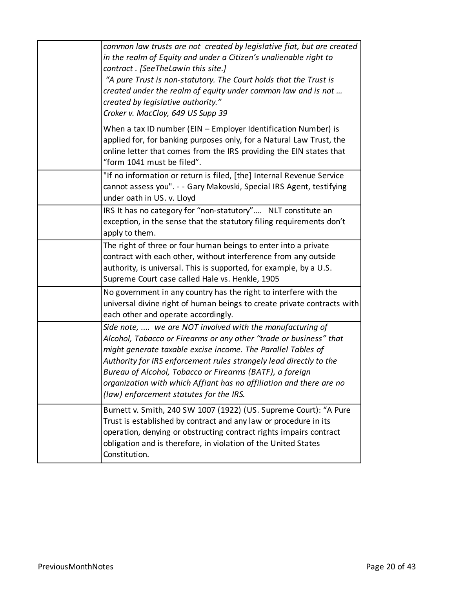| common law trusts are not created by legislative fiat, but are created<br>in the realm of Equity and under a Citizen's unalienable right to<br>contract. [SeeTheLawin this site.]<br>"A pure Trust is non-statutory. The Court holds that the Trust is<br>created under the realm of equity under common law and is not<br>created by legislative authority."<br>Croker v. MacCloy, 649 US Supp 39                                                  |
|-----------------------------------------------------------------------------------------------------------------------------------------------------------------------------------------------------------------------------------------------------------------------------------------------------------------------------------------------------------------------------------------------------------------------------------------------------|
| When a tax ID number (EIN - Employer Identification Number) is<br>applied for, for banking purposes only, for a Natural Law Trust, the<br>online letter that comes from the IRS providing the EIN states that<br>"form 1041 must be filed".                                                                                                                                                                                                         |
| "If no information or return is filed, [the] Internal Revenue Service<br>cannot assess you". - - Gary Makovski, Special IRS Agent, testifying<br>under oath in US. v. Lloyd                                                                                                                                                                                                                                                                         |
| IRS It has no category for "non-statutory" NLT constitute an<br>exception, in the sense that the statutory filing requirements don't<br>apply to them.                                                                                                                                                                                                                                                                                              |
| The right of three or four human beings to enter into a private<br>contract with each other, without interference from any outside<br>authority, is universal. This is supported, for example, by a U.S.<br>Supreme Court case called Hale vs. Henkle, 1905                                                                                                                                                                                         |
| No government in any country has the right to interfere with the<br>universal divine right of human beings to create private contracts with<br>each other and operate accordingly.                                                                                                                                                                                                                                                                  |
| Side note,  we are NOT involved with the manufacturing of<br>Alcohol, Tobacco or Firearms or any other "trade or business" that<br>might generate taxable excise income. The Parallel Tables of<br>Authority for IRS enforcement rules strangely lead directly to the<br>Bureau of Alcohol, Tobacco or Firearms (BATF), a foreign<br>organization with which Affiant has no affiliation and there are no<br>(law) enforcement statutes for the IRS. |
| Burnett v. Smith, 240 SW 1007 (1922) (US. Supreme Court): "A Pure<br>Trust is established by contract and any law or procedure in its<br>operation, denying or obstructing contract rights impairs contract<br>obligation and is therefore, in violation of the United States<br>Constitution.                                                                                                                                                      |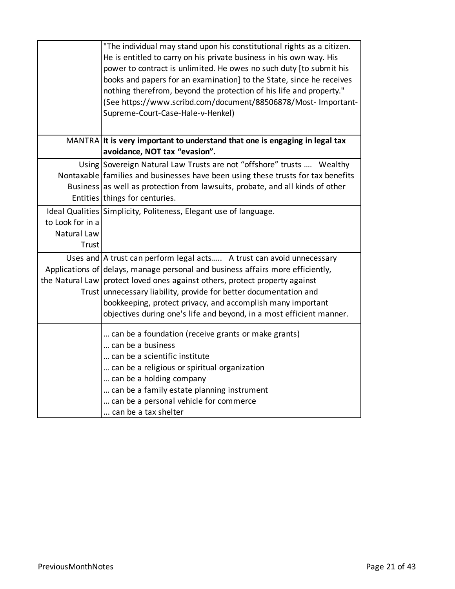|                  | "The individual may stand upon his constitutional rights as a citizen.           |
|------------------|----------------------------------------------------------------------------------|
|                  | He is entitled to carry on his private business in his own way. His              |
|                  | power to contract is unlimited. He owes no such duty [to submit his              |
|                  | books and papers for an examination] to the State, since he receives             |
|                  | nothing therefrom, beyond the protection of his life and property."              |
|                  | (See https://www.scribd.com/document/88506878/Most- Important-                   |
|                  | Supreme-Court-Case-Hale-v-Henkel)                                                |
|                  |                                                                                  |
|                  | MANTRA It is very important to understand that one is engaging in legal tax      |
|                  | avoidance, NOT tax "evasion".                                                    |
|                  | Using Sovereign Natural Law Trusts are not "offshore" trusts  Wealthy            |
|                  | Nontaxable families and businesses have been using these trusts for tax benefits |
|                  | Business as well as protection from lawsuits, probate, and all kinds of other    |
|                  | Entities things for centuries.                                                   |
|                  | Ideal Qualities Simplicity, Politeness, Elegant use of language.                 |
| to Look for in a |                                                                                  |
| Natural Law      |                                                                                  |
| Trust            |                                                                                  |
|                  | Uses and   A trust can perform legal acts A trust can avoid unnecessary          |
|                  | Applications of delays, manage personal and business affairs more efficiently,   |
|                  | the Natural Law protect loved ones against others, protect property against      |
|                  | Trust unnecessary liability, provide for better documentation and                |
|                  | bookkeeping, protect privacy, and accomplish many important                      |
|                  | objectives during one's life and beyond, in a most efficient manner.             |
|                  | can be a foundation (receive grants or make grants)                              |
|                  | can be a business                                                                |
|                  | can be a scientific institute                                                    |
|                  | can be a religious or spiritual organization                                     |
|                  | can be a holding company                                                         |
|                  | can be a family estate planning instrument                                       |
|                  | can be a personal vehicle for commerce                                           |
|                  | can be a tax shelter                                                             |
|                  |                                                                                  |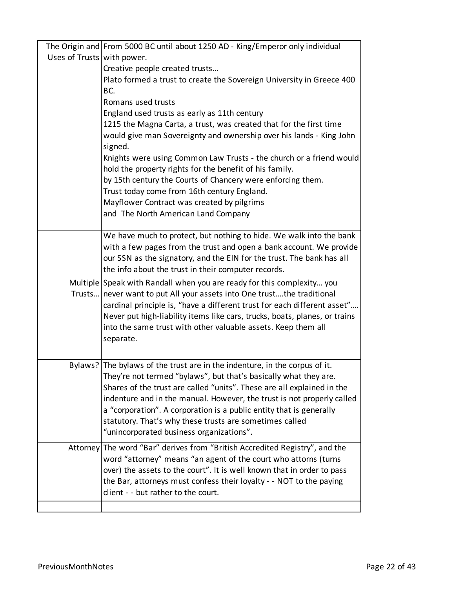|                            | The Origin and From 5000 BC until about 1250 AD - King/Emperor only individual                                                                |
|----------------------------|-----------------------------------------------------------------------------------------------------------------------------------------------|
| Uses of Trusts with power. |                                                                                                                                               |
|                            | Creative people created trusts                                                                                                                |
|                            | Plato formed a trust to create the Sovereign University in Greece 400                                                                         |
|                            | BC.                                                                                                                                           |
|                            | Romans used trusts                                                                                                                            |
|                            | England used trusts as early as 11th century                                                                                                  |
|                            | 1215 the Magna Carta, a trust, was created that for the first time                                                                            |
|                            | would give man Sovereignty and ownership over his lands - King John                                                                           |
|                            | signed.                                                                                                                                       |
|                            | Knights were using Common Law Trusts - the church or a friend would<br>hold the property rights for the benefit of his family.                |
|                            | by 15th century the Courts of Chancery were enforcing them.                                                                                   |
|                            | Trust today come from 16th century England.                                                                                                   |
|                            | Mayflower Contract was created by pilgrims                                                                                                    |
|                            | and The North American Land Company                                                                                                           |
|                            |                                                                                                                                               |
|                            | We have much to protect, but nothing to hide. We walk into the bank                                                                           |
|                            | with a few pages from the trust and open a bank account. We provide                                                                           |
|                            | our SSN as the signatory, and the EIN for the trust. The bank has all                                                                         |
|                            | the info about the trust in their computer records.                                                                                           |
|                            | Multiple Speak with Randall when you are ready for this complexity you                                                                        |
|                            | Trusts never want to put All your assets into One trustthe traditional                                                                        |
|                            | cardinal principle is, "have a different trust for each different asset"                                                                      |
|                            | Never put high-liability items like cars, trucks, boats, planes, or trains                                                                    |
|                            | into the same trust with other valuable assets. Keep them all                                                                                 |
|                            | separate.                                                                                                                                     |
|                            |                                                                                                                                               |
|                            | Bylaws? The bylaws of the trust are in the indenture, in the corpus of it.                                                                    |
|                            | They're not termed "bylaws", but that's basically what they are.                                                                              |
|                            | Shares of the trust are called "units". These are all explained in the                                                                        |
|                            | indenture and in the manual. However, the trust is not properly called<br>a "corporation". A corporation is a public entity that is generally |
|                            | statutory. That's why these trusts are sometimes called                                                                                       |
|                            | "unincorporated business organizations".                                                                                                      |
|                            | Attorney The word "Bar" derives from "British Accredited Registry", and the                                                                   |
|                            | word "attorney" means "an agent of the court who attorns (turns                                                                               |
|                            | over) the assets to the court". It is well known that in order to pass                                                                        |
|                            | the Bar, attorneys must confess their loyalty - - NOT to the paying                                                                           |
|                            | client - - but rather to the court.                                                                                                           |
|                            |                                                                                                                                               |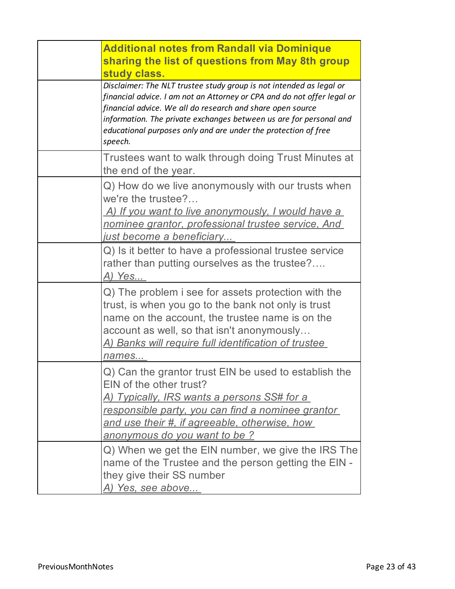| <b>Additional notes from Randall via Dominique</b><br>sharing the list of questions from May 8th group<br>study class.                                                                                                                                                                                                                                          |
|-----------------------------------------------------------------------------------------------------------------------------------------------------------------------------------------------------------------------------------------------------------------------------------------------------------------------------------------------------------------|
| Disclaimer: The NLT trustee study group is not intended as legal or<br>financial advice. I am not an Attorney or CPA and do not offer legal or<br>financial advice. We all do research and share open source<br>information. The private exchanges between us are for personal and<br>educational purposes only and are under the protection of free<br>speech. |
| Trustees want to walk through doing Trust Minutes at<br>the end of the year.                                                                                                                                                                                                                                                                                    |
| Q) How do we live anonymously with our trusts when<br>we're the trustee?<br>A) If you want to live anonymously, I would have a<br>nominee grantor, professional trustee service, And<br><u>just become a beneficiary</u>                                                                                                                                        |
| Q) Is it better to have a professional trustee service<br>rather than putting ourselves as the trustee?<br>A) Yes                                                                                                                                                                                                                                               |
| Q) The problem i see for assets protection with the<br>trust, is when you go to the bank not only is trust<br>name on the account, the trustee name is on the<br>account as well, so that isn't anonymously<br><u>A) Banks will require full identification of trustee_</u><br>names                                                                            |
| Q) Can the grantor trust EIN be used to establish the<br>EIN of the other trust?<br>A) Typically, IRS wants a persons SS# for a<br>responsible party, you can find a nominee grantor<br>and use their #, if agreeable, otherwise, how<br>anonymous do you want to be?                                                                                           |
| Q) When we get the EIN number, we give the IRS The<br>name of the Trustee and the person getting the EIN -<br>they give their SS number<br><u>A) Yes, see above</u>                                                                                                                                                                                             |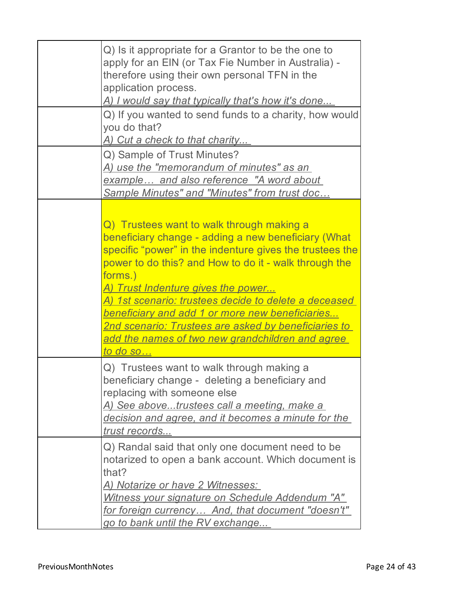| Q) Is it appropriate for a Grantor to be the one to<br>apply for an EIN (or Tax Fie Number in Australia) -<br>therefore using their own personal TFN in the<br>application process.<br><u>A) I would say that typically that's how it's done</u><br>Q) If you wanted to send funds to a charity, how would<br>you do that?<br><u>A) Cut a check to that charity</u>                                                                                                                                                                     |
|-----------------------------------------------------------------------------------------------------------------------------------------------------------------------------------------------------------------------------------------------------------------------------------------------------------------------------------------------------------------------------------------------------------------------------------------------------------------------------------------------------------------------------------------|
| Q) Sample of Trust Minutes?<br><u>A) use the "memorandum of minutes" as an-</u><br>example and also reference "A word about<br><b>Sample Minutes" and "Minutes" from trust doc</b>                                                                                                                                                                                                                                                                                                                                                      |
| Q) Trustees want to walk through making a<br>beneficiary change - adding a new beneficiary (What<br>specific "power" in the indenture gives the trustees the<br>power to do this? and How to do it - walk through the<br>forms.)<br><u>A) Trust Indenture gives the power</u><br><u>A) 1st scenario: trustees decide to delete a deceased </u><br><u>beneficiary and add 1 or more new beneficiaries</u><br><b>2nd scenario: Trustees are asked by beneficiaries to</b><br>add the names of two new grandchildren and agree<br>to do so |
| Q) Trustees want to walk through making a<br>beneficiary change - deleting a beneficiary and<br>replacing with someone else<br>A) See abovetrustees call a meeting, make a<br>decision and agree, and it becomes a minute for the<br>trust records                                                                                                                                                                                                                                                                                      |
| Q) Randal said that only one document need to be<br>notarized to open a bank account. Which document is<br>that?<br><u>A) Notarize or have 2 Witnesses: </u><br>Witness your signature on Schedule Addendum "A"<br><u>for foreign currency And, that document "doesn't"</u><br><u>go to bank until the RV exchange</u>                                                                                                                                                                                                                  |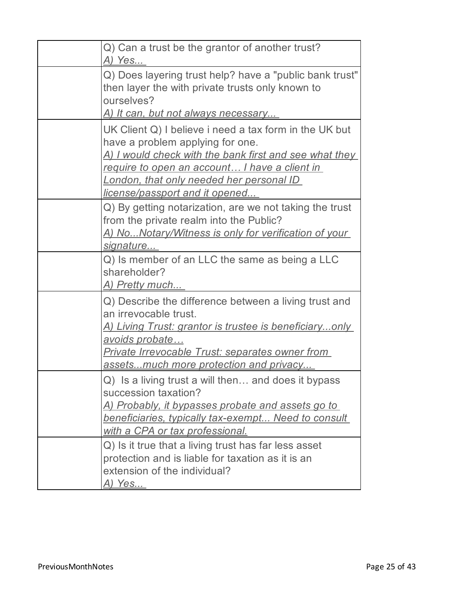| Q) Can a trust be the grantor of another trust?<br>A) Yes                                                                                                                                                                                                                                   |
|---------------------------------------------------------------------------------------------------------------------------------------------------------------------------------------------------------------------------------------------------------------------------------------------|
| Q) Does layering trust help? have a "public bank trust"<br>then layer the with private trusts only known to<br>ourselves?<br><u>A) It can, but not always necessary</u>                                                                                                                     |
| UK Client Q) I believe i need a tax form in the UK but<br>have a problem applying for one.<br><u>A) I would check with the bank first and see what they </u><br>require to open an account I have a client in<br>London, that only needed her personal ID<br>license/passport and it opened |
| Q) By getting notarization, are we not taking the trust<br>from the private realm into the Public?<br><u>A) NoNotary/Witness is only for verification of your</u><br>signature                                                                                                              |
| Q) Is member of an LLC the same as being a LLC<br>shareholder?<br><u>A) Pretty much</u>                                                                                                                                                                                                     |
| Q) Describe the difference between a living trust and<br>an irrevocable trust.<br><u>A) Living Trust: grantor is trustee is beneficiaryonly_</u><br><u>avoids probate</u><br><b>Private Irrevocable Trust: separates owner from</b><br>assetsmuch more protection and privacy               |
| Q) Is a living trust a will then and does it bypass<br>succession taxation?<br><u>A) Probably, it bypasses probate and assets go to </u><br>beneficiaries, typically tax-exempt Need to consult<br>with a CPA or tax professional.                                                          |
| Q) Is it true that a living trust has far less asset<br>protection and is liable for taxation as it is an<br>extension of the individual?<br><u>A) Yes</u>                                                                                                                                  |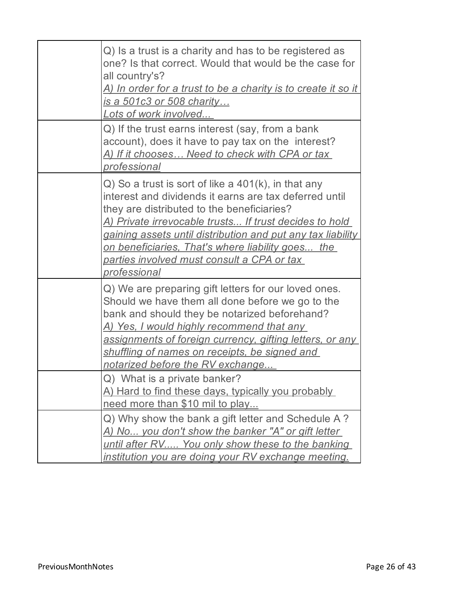| Q) Is a trust is a charity and has to be registered as<br>one? Is that correct. Would that would be the case for<br>all country's?<br><u>A) In order for a trust to be a charity is to create it so it </u><br>is a 501c3 or 508 charity<br>Lots of work involved                                                                                                                                                             |
|-------------------------------------------------------------------------------------------------------------------------------------------------------------------------------------------------------------------------------------------------------------------------------------------------------------------------------------------------------------------------------------------------------------------------------|
| Q) If the trust earns interest (say, from a bank<br>account), does it have to pay tax on the interest?<br>A) If it chooses Need to check with CPA or tax<br>professional                                                                                                                                                                                                                                                      |
| $Q$ ) So a trust is sort of like a $401(k)$ , in that any<br>interest and dividends it earns are tax deferred until<br>they are distributed to the beneficiaries?<br>A) Private irrevocable trusts If trust decides to hold<br>gaining assets until distribution and put any tax liability<br><u>on beneficiaries, That's where liability goes the </u><br><u>parties involved must consult a CPA or tax.</u><br>professional |
| Q) We are preparing gift letters for our loved ones.<br>Should we have them all done before we go to the<br>bank and should they be notarized beforehand?<br><u>A) Yes, I would highly recommend that any </u><br>assignments of foreign currency, gifting letters, or any<br>shuffling of names on receipts, be signed and<br>notarized before the RV exchange                                                               |
| Q) What is a private banker?<br>A) Hard to find these days, typically you probably<br>need more than \$10 mil to play                                                                                                                                                                                                                                                                                                         |
| Q) Why show the bank a gift letter and Schedule A?<br>A) No you don't show the banker "A" or gift letter<br>until after RV You only show these to the banking<br><u>institution you are doing your RV exchange meeting.</u>                                                                                                                                                                                                   |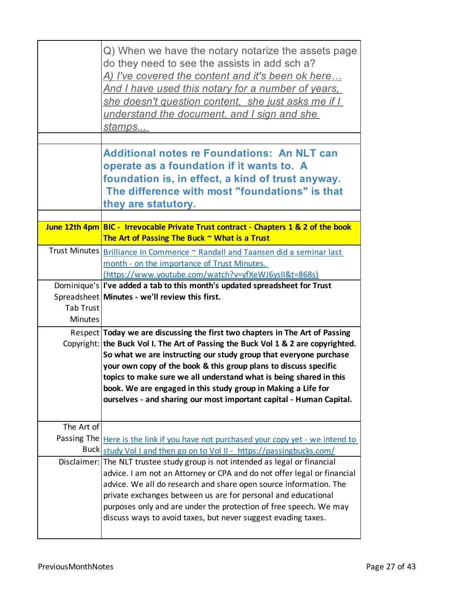|                  | Q) When we have the notary notarize the assets page<br>do they need to see the assists in add sch a?<br>A) I've covered the content and it's been ok here<br><u>And I have used this notary for a number of years, </u><br>she doesn't question content, she just asks me if I<br>understand the document, and I sign and she<br><u>stamps</u>                                                                                                                                                                           |
|------------------|--------------------------------------------------------------------------------------------------------------------------------------------------------------------------------------------------------------------------------------------------------------------------------------------------------------------------------------------------------------------------------------------------------------------------------------------------------------------------------------------------------------------------|
|                  | <b>Additional notes re Foundations: An NLT can</b><br>operate as a foundation if it wants to. A<br>foundation is, in effect, a kind of trust anyway.<br>The difference with most "foundations" is that<br>they are statutory.                                                                                                                                                                                                                                                                                            |
|                  | June 12th 4pm BIC - Irrevocable Private Trust contract - Chapters 1 & 2 of the book                                                                                                                                                                                                                                                                                                                                                                                                                                      |
|                  | The Art of Passing The Buck ~ What is a Trust                                                                                                                                                                                                                                                                                                                                                                                                                                                                            |
|                  | Trust Minutes   Brilliance In Commence ~ Randall and Taansen did a seminar last<br>month - on the importance of Trust Minutes.<br>https://www.youtube.com/watch?v=yfXeWJ6ysII&t=868s)                                                                                                                                                                                                                                                                                                                                    |
|                  | Dominique's   I've added a tab to this month's updated spreadsheet for Trust                                                                                                                                                                                                                                                                                                                                                                                                                                             |
|                  | Spreadsheet Minutes - we'll review this first.                                                                                                                                                                                                                                                                                                                                                                                                                                                                           |
| <b>Tab Trust</b> |                                                                                                                                                                                                                                                                                                                                                                                                                                                                                                                          |
| <b>Minutes</b>   |                                                                                                                                                                                                                                                                                                                                                                                                                                                                                                                          |
|                  | Respect Today we are discussing the first two chapters in The Art of Passing<br>Copyright: the Buck Vol I. The Art of Passing the Buck Vol 1 & 2 are copyrighted.<br>So what we are instructing our study group that everyone purchase<br>your own copy of the book & this group plans to discuss specific<br>topics to make sure we all understand what is being shared in this<br>book. We are engaged in this study group in Making a Life for<br>ourselves - and sharing our most important capital - Human Capital. |
| The Art of       |                                                                                                                                                                                                                                                                                                                                                                                                                                                                                                                          |
| Passing The      | Here is the link if you have not purchased your copy yet - we intend to                                                                                                                                                                                                                                                                                                                                                                                                                                                  |
|                  | Buck study Vol I and then go on to Vol II - https://passingbucks.com/                                                                                                                                                                                                                                                                                                                                                                                                                                                    |
|                  | Disclaimer: The NLT trustee study group is not intended as legal or financial<br>advice. I am not an Attorney or CPA and do not offer legal or financial<br>advice. We all do research and share open source information. The<br>private exchanges between us are for personal and educational<br>purposes only and are under the protection of free speech. We may<br>discuss ways to avoid taxes, but never suggest evading taxes.                                                                                     |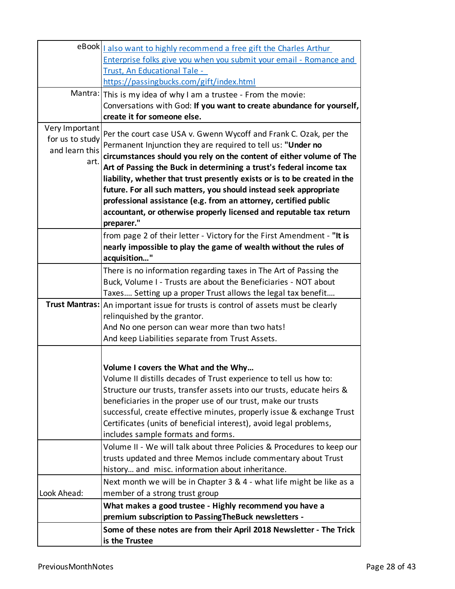|                 | eBook   also want to highly recommend a free gift the Charles Arthur                |
|-----------------|-------------------------------------------------------------------------------------|
|                 | Enterprise folks give you when you submit your email - Romance and                  |
|                 | Trust, An Educational Tale -                                                        |
|                 | https://passingbucks.com/gift/index.html                                            |
|                 | Mantra: This is my idea of why I am a trustee - From the movie:                     |
|                 | Conversations with God: If you want to create abundance for yourself,               |
|                 | create it for someone else.                                                         |
| Very Important  | Per the court case USA v. Gwenn Wycoff and Frank C. Ozak, per the                   |
| for us to study | Permanent Injunction they are required to tell us: "Under no                        |
| and learn this  | circumstances should you rely on the content of either volume of The                |
| art.            | Art of Passing the Buck in determining a trust's federal income tax                 |
|                 | liability, whether that trust presently exists or is to be created in the           |
|                 | future. For all such matters, you should instead seek appropriate                   |
|                 | professional assistance (e.g. from an attorney, certified public                    |
|                 | accountant, or otherwise properly licensed and reputable tax return                 |
|                 | preparer."                                                                          |
|                 | from page 2 of their letter - Victory for the First Amendment - "It is              |
|                 | nearly impossible to play the game of wealth without the rules of                   |
|                 | acquisition"                                                                        |
|                 | There is no information regarding taxes in The Art of Passing the                   |
|                 | Buck, Volume I - Trusts are about the Beneficiaries - NOT about                     |
|                 | Taxes Setting up a proper Trust allows the legal tax benefit                        |
|                 | Trust Mantras:   An important issue for trusts is control of assets must be clearly |
|                 | relinquished by the grantor.                                                        |
|                 | And No one person can wear more than two hats!                                      |
|                 | And keep Liabilities separate from Trust Assets.                                    |
|                 |                                                                                     |
|                 | Volume I covers the What and the Why                                                |
|                 | Volume II distills decades of Trust experience to tell us how to:                   |
|                 | Structure our trusts, transfer assets into our trusts, educate heirs &              |
|                 | beneficiaries in the proper use of our trust, make our trusts                       |
|                 | successful, create effective minutes, properly issue & exchange Trust               |
|                 | Certificates (units of beneficial interest), avoid legal problems,                  |
|                 | includes sample formats and forms.                                                  |
|                 | Volume II - We will talk about three Policies & Procedures to keep our              |
|                 | trusts updated and three Memos include commentary about Trust                       |
|                 | history and misc. information about inheritance.                                    |
|                 | Next month we will be in Chapter 3 & 4 - what life might be like as a               |
| Look Ahead:     | member of a strong trust group                                                      |
|                 | What makes a good trustee - Highly recommend you have a                             |
|                 | premium subscription to Passing The Buck newsletters -                              |
|                 | Some of these notes are from their April 2018 Newsletter - The Trick                |
|                 | is the Trustee                                                                      |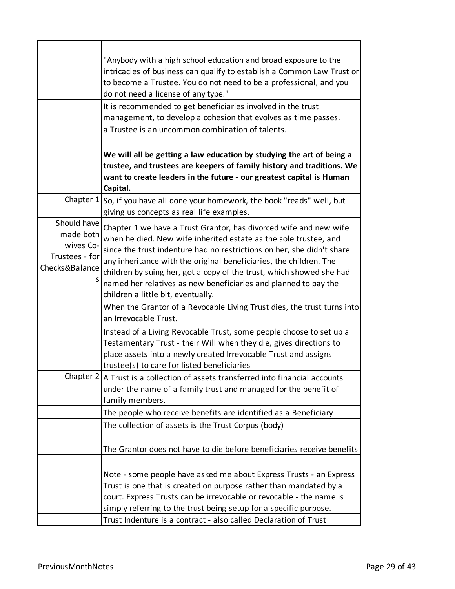|                                                                           | "Anybody with a high school education and broad exposure to the                                                                                                                                                                                                                                                                                                                                                                                                        |  |  |  |  |  |  |
|---------------------------------------------------------------------------|------------------------------------------------------------------------------------------------------------------------------------------------------------------------------------------------------------------------------------------------------------------------------------------------------------------------------------------------------------------------------------------------------------------------------------------------------------------------|--|--|--|--|--|--|
|                                                                           | intricacies of business can qualify to establish a Common Law Trust or                                                                                                                                                                                                                                                                                                                                                                                                 |  |  |  |  |  |  |
|                                                                           | to become a Trustee. You do not need to be a professional, and you                                                                                                                                                                                                                                                                                                                                                                                                     |  |  |  |  |  |  |
|                                                                           | do not need a license of any type."                                                                                                                                                                                                                                                                                                                                                                                                                                    |  |  |  |  |  |  |
|                                                                           | It is recommended to get beneficiaries involved in the trust                                                                                                                                                                                                                                                                                                                                                                                                           |  |  |  |  |  |  |
|                                                                           | management, to develop a cohesion that evolves as time passes.                                                                                                                                                                                                                                                                                                                                                                                                         |  |  |  |  |  |  |
|                                                                           | a Trustee is an uncommon combination of talents.                                                                                                                                                                                                                                                                                                                                                                                                                       |  |  |  |  |  |  |
|                                                                           | We will all be getting a law education by studying the art of being a<br>trustee, and trustees are keepers of family history and traditions. We<br>want to create leaders in the future - our greatest capital is Human<br>Capital.                                                                                                                                                                                                                                    |  |  |  |  |  |  |
| Chapter $1$                                                               | So, if you have all done your homework, the book "reads" well, but<br>giving us concepts as real life examples.                                                                                                                                                                                                                                                                                                                                                        |  |  |  |  |  |  |
| Should have<br>made both<br>wives Co-<br>Trustees - for<br>Checks&Balance | Chapter 1 we have a Trust Grantor, has divorced wife and new wife<br>when he died. New wife inherited estate as the sole trustee, and<br>since the trust indenture had no restrictions on her, she didn't share<br>any inheritance with the original beneficiaries, the children. The<br>children by suing her, got a copy of the trust, which showed she had<br>named her relatives as new beneficiaries and planned to pay the<br>children a little bit, eventually. |  |  |  |  |  |  |
|                                                                           | When the Grantor of a Revocable Living Trust dies, the trust turns into<br>an Irrevocable Trust.                                                                                                                                                                                                                                                                                                                                                                       |  |  |  |  |  |  |
|                                                                           | Instead of a Living Revocable Trust, some people choose to set up a<br>Testamentary Trust - their Will when they die, gives directions to<br>place assets into a newly created Irrevocable Trust and assigns<br>trustee(s) to care for listed beneficiaries                                                                                                                                                                                                            |  |  |  |  |  |  |
|                                                                           | Chapter $2 A$ Trust is a collection of assets transferred into financial accounts<br>under the name of a family trust and managed for the benefit of<br>family members.                                                                                                                                                                                                                                                                                                |  |  |  |  |  |  |
|                                                                           | The people who receive benefits are identified as a Beneficiary                                                                                                                                                                                                                                                                                                                                                                                                        |  |  |  |  |  |  |
|                                                                           | The collection of assets is the Trust Corpus (body)                                                                                                                                                                                                                                                                                                                                                                                                                    |  |  |  |  |  |  |
|                                                                           | The Grantor does not have to die before beneficiaries receive benefits                                                                                                                                                                                                                                                                                                                                                                                                 |  |  |  |  |  |  |
|                                                                           | Note - some people have asked me about Express Trusts - an Express<br>Trust is one that is created on purpose rather than mandated by a<br>court. Express Trusts can be irrevocable or revocable - the name is<br>simply referring to the trust being setup for a specific purpose.<br>Trust Indenture is a contract - also called Declaration of Trust                                                                                                                |  |  |  |  |  |  |
|                                                                           |                                                                                                                                                                                                                                                                                                                                                                                                                                                                        |  |  |  |  |  |  |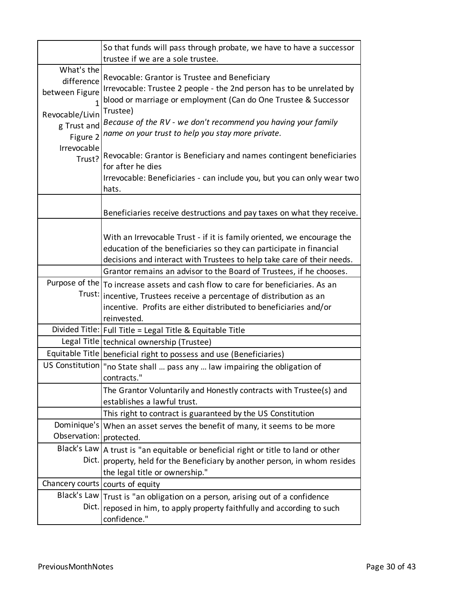|                                                                                          | So that funds will pass through probate, we have to have a successor<br>trustee if we are a sole trustee.                                                                                                                                                                                                                   |
|------------------------------------------------------------------------------------------|-----------------------------------------------------------------------------------------------------------------------------------------------------------------------------------------------------------------------------------------------------------------------------------------------------------------------------|
| What's the<br>difference<br>between Figure<br>Revocable/Livin<br>g Trust and<br>Figure 2 | Revocable: Grantor is Trustee and Beneficiary<br>Irrevocable: Trustee 2 people - the 2nd person has to be unrelated by<br>blood or marriage or employment (Can do One Trustee & Successor<br>Trustee)<br>Because of the RV - we don't recommend you having your family<br>name on your trust to help you stay more private. |
| Irrevocable<br>Trust?                                                                    | Revocable: Grantor is Beneficiary and names contingent beneficiaries<br>for after he dies<br>Irrevocable: Beneficiaries - can include you, but you can only wear two<br>hats.                                                                                                                                               |
|                                                                                          | Beneficiaries receive destructions and pay taxes on what they receive.                                                                                                                                                                                                                                                      |
|                                                                                          | With an Irrevocable Trust - if it is family oriented, we encourage the<br>education of the beneficiaries so they can participate in financial<br>decisions and interact with Trustees to help take care of their needs.                                                                                                     |
|                                                                                          | Grantor remains an advisor to the Board of Trustees, if he chooses.                                                                                                                                                                                                                                                         |
| Purpose of the<br>Trust:                                                                 | To increase assets and cash flow to care for beneficiaries. As an<br>incentive, Trustees receive a percentage of distribution as an<br>incentive. Profits are either distributed to beneficiaries and/or<br>reinvested.                                                                                                     |
|                                                                                          | Divided Title:   Full Title = Legal Title & Equitable Title                                                                                                                                                                                                                                                                 |
|                                                                                          | Legal Title technical ownership (Trustee)                                                                                                                                                                                                                                                                                   |
|                                                                                          | Equitable Title   beneficial right to possess and use (Beneficiaries)                                                                                                                                                                                                                                                       |
|                                                                                          | US Constitution   "no State shall  pass any  law impairing the obligation of<br>contracts."                                                                                                                                                                                                                                 |
|                                                                                          | The Grantor Voluntarily and Honestly contracts with Trustee(s) and<br>establishes a lawful trust.                                                                                                                                                                                                                           |
|                                                                                          | This right to contract is guaranteed by the US Constitution                                                                                                                                                                                                                                                                 |
| Dominique's<br>Observation:                                                              | When an asset serves the benefit of many, it seems to be more<br>protected.                                                                                                                                                                                                                                                 |
| Black's Law<br>Dict.                                                                     | A trust is "an equitable or beneficial right or title to land or other<br>property, held for the Beneficiary by another person, in whom resides<br>the legal title or ownership."                                                                                                                                           |
|                                                                                          | Chancery courts   courts of equity                                                                                                                                                                                                                                                                                          |
| Black's Law<br>Dict.                                                                     | Trust is "an obligation on a person, arising out of a confidence<br>reposed in him, to apply property faithfully and according to such<br>confidence."                                                                                                                                                                      |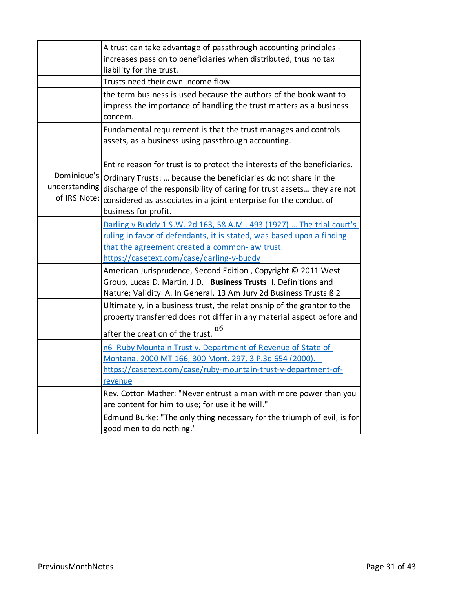|                                              | A trust can take advantage of passthrough accounting principles -<br>increases pass on to beneficiaries when distributed, thus no tax<br>liability for the trust.                                                                           |
|----------------------------------------------|---------------------------------------------------------------------------------------------------------------------------------------------------------------------------------------------------------------------------------------------|
|                                              | Trusts need their own income flow                                                                                                                                                                                                           |
|                                              | the term business is used because the authors of the book want to<br>impress the importance of handling the trust matters as a business<br>concern.                                                                                         |
|                                              | Fundamental requirement is that the trust manages and controls<br>assets, as a business using passthrough accounting.                                                                                                                       |
|                                              | Entire reason for trust is to protect the interests of the beneficiaries.                                                                                                                                                                   |
| Dominique's<br>understanding<br>of IRS Note: | Ordinary Trusts:  because the beneficiaries do not share in the<br>discharge of the responsibility of caring for trust assets they are not<br>considered as associates in a joint enterprise for the conduct of<br>business for profit.     |
|                                              | Darling v Buddy 1 S.W. 2d 163, 58 A.M 493 (1927)  The trial court's<br>ruling in favor of defendants, it is stated, was based upon a finding<br>that the agreement created a common-law trust.<br>https://casetext.com/case/darling-v-buddy |
|                                              | American Jurisprudence, Second Edition, Copyright © 2011 West<br>Group, Lucas D. Martin, J.D. Business Trusts I. Definitions and<br>Nature; Validity A. In General, 13 Am Jury 2d Business Trusts ß 2                                       |
|                                              | Ultimately, in a business trust, the relationship of the grantor to the<br>property transferred does not differ in any material aspect before and<br>n6<br>after the creation of the trust.                                                 |
|                                              | n6 Ruby Mountain Trust v. Department of Revenue of State of<br>Montana, 2000 MT 166, 300 Mont. 297, 3 P.3d 654 (2000).<br>https://casetext.com/case/ruby-mountain-trust-v-department-of-<br>revenue                                         |
|                                              | Rev. Cotton Mather: "Never entrust a man with more power than you<br>are content for him to use; for use it he will."                                                                                                                       |
|                                              | Edmund Burke: "The only thing necessary for the triumph of evil, is for<br>good men to do nothing."                                                                                                                                         |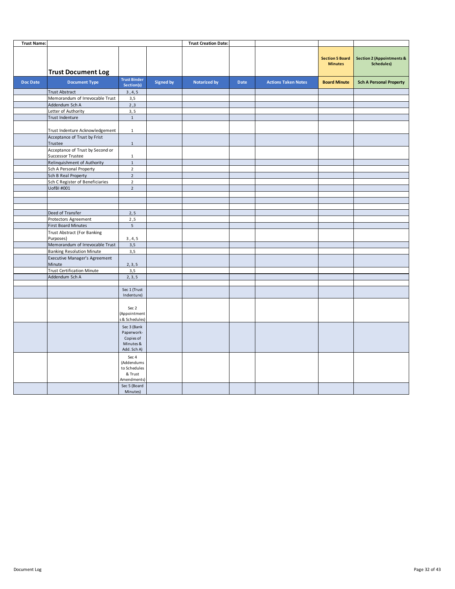| <b>Trust Name:</b> |                                                       |                                                                    |                  | <b>Trust Creation Date:</b> |      |                            |                                          |                                                    |
|--------------------|-------------------------------------------------------|--------------------------------------------------------------------|------------------|-----------------------------|------|----------------------------|------------------------------------------|----------------------------------------------------|
|                    | <b>Trust Document Log</b>                             |                                                                    |                  |                             |      |                            | <b>Section 5 Board</b><br><b>Minutes</b> | <b>Section 2 (Appointments &amp;</b><br>Schedules) |
| <b>Doc Date</b>    | <b>Document Type</b>                                  | <b>Trust Binder</b><br>Section(s)                                  | <b>Signed by</b> | <b>Notarized by</b>         | Date | <b>Actions Taken Notes</b> | <b>Board Minute</b>                      | <b>Sch A Personal Property</b>                     |
|                    | <b>Trust Abstract</b>                                 | 3, 4, 5                                                            |                  |                             |      |                            |                                          |                                                    |
|                    | Memorandum of Irrevocable Trust                       | 3,5                                                                |                  |                             |      |                            |                                          |                                                    |
|                    | Addendum Sch A                                        | 2,3                                                                |                  |                             |      |                            |                                          |                                                    |
|                    | Letter of Authority                                   | 3, 5                                                               |                  |                             |      |                            |                                          |                                                    |
|                    | Trust Indenture                                       | $\,1\,$                                                            |                  |                             |      |                            |                                          |                                                    |
|                    | Trust Indenture Acknowledgement                       | $\mathbf 1$                                                        |                  |                             |      |                            |                                          |                                                    |
|                    | Acceptance of Trust by Frist<br>Trustee               | $\mathbf{1}$                                                       |                  |                             |      |                            |                                          |                                                    |
|                    | Acceptance of Trust by Second or<br>Successor Trustee | $\mathbf{1}$                                                       |                  |                             |      |                            |                                          |                                                    |
|                    | Relinquishment of Authority                           | $\mathbf 1$                                                        |                  |                             |      |                            |                                          |                                                    |
|                    | Sch A Personal Property                               | $\overline{2}$                                                     |                  |                             |      |                            |                                          |                                                    |
|                    | Sch B Real Property                                   | $\overline{2}$                                                     |                  |                             |      |                            |                                          |                                                    |
|                    | Sch C Register of Beneficiaries                       | $\overline{2}$                                                     |                  |                             |      |                            |                                          |                                                    |
|                    | UofBI #001                                            | $\overline{2}$                                                     |                  |                             |      |                            |                                          |                                                    |
|                    |                                                       |                                                                    |                  |                             |      |                            |                                          |                                                    |
|                    |                                                       |                                                                    |                  |                             |      |                            |                                          |                                                    |
|                    | Deed of Transfer                                      | 2, 5                                                               |                  |                             |      |                            |                                          |                                                    |
|                    | Protectors Agreement                                  | 2,5                                                                |                  |                             |      |                            |                                          |                                                    |
|                    | <b>First Board Minutes</b>                            | $5\phantom{.0}$                                                    |                  |                             |      |                            |                                          |                                                    |
|                    | <b>Trust Abstract (For Banking</b>                    |                                                                    |                  |                             |      |                            |                                          |                                                    |
|                    | Purposes)                                             | 3, 4, 5                                                            |                  |                             |      |                            |                                          |                                                    |
|                    | Memorandum of Irrevocable Trust                       | 3,5                                                                |                  |                             |      |                            |                                          |                                                    |
|                    | <b>Banking Resolution Minute</b>                      | 3,5                                                                |                  |                             |      |                            |                                          |                                                    |
|                    | <b>Executive Manager's Agreement</b><br>Minute        | 2, 3, 5                                                            |                  |                             |      |                            |                                          |                                                    |
|                    | <b>Trust Certification Minute</b>                     | 3,5                                                                |                  |                             |      |                            |                                          |                                                    |
|                    | Addendum Sch A                                        | 2, 3, 5                                                            |                  |                             |      |                            |                                          |                                                    |
|                    |                                                       |                                                                    |                  |                             |      |                            |                                          |                                                    |
|                    |                                                       | Sec 1 (Trust<br>Indenture)                                         |                  |                             |      |                            |                                          |                                                    |
|                    |                                                       | Sec 2<br>(Appointment<br>& Schedules)                              |                  |                             |      |                            |                                          |                                                    |
|                    |                                                       | Sec 3 (Bank<br>Paperwork-<br>Copies of<br>Minutes &<br>Add. Sch A) |                  |                             |      |                            |                                          |                                                    |
|                    |                                                       | Sec 4<br>(Addendums<br>to Schedules<br>& Trust<br>Amendments)      |                  |                             |      |                            |                                          |                                                    |
|                    |                                                       | Sec 5 (Board<br>Minutes)                                           |                  |                             |      |                            |                                          |                                                    |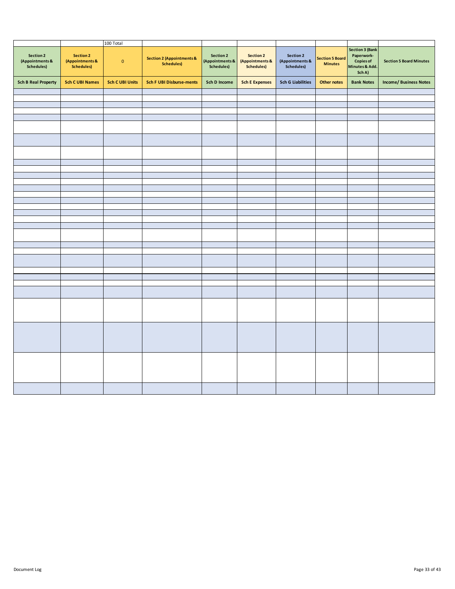|                                            |                                                          | 100 Total              |                                                           |                                            |                                                          |                                            |                                          |                                                                               |                                |
|--------------------------------------------|----------------------------------------------------------|------------------------|-----------------------------------------------------------|--------------------------------------------|----------------------------------------------------------|--------------------------------------------|------------------------------------------|-------------------------------------------------------------------------------|--------------------------------|
| Section 2<br>(Appointments &<br>Schedules) | <b>Section 2</b><br>(Appointments &<br><b>Schedules)</b> | $\mathbf 0$            | <b>Section 2 (Appointments &amp;</b><br><b>Schedules)</b> | Section 2<br>(Appointments &<br>Schedules) | <b>Section 2</b><br>(Appointments &<br><b>Schedules)</b> | Section 2<br>(Appointments &<br>Schedules) | <b>Section 5 Board</b><br><b>Minutes</b> | Section 3 (Bank<br>Paperwork-<br><b>Copies of</b><br>Minutes & Add.<br>Sch A) | <b>Section 5 Board Minutes</b> |
| <b>Sch B Real Property</b>                 | <b>Sch C UBI Names</b>                                   | <b>Sch C UBI Units</b> | <b>Sch F UBI Disburse-ments</b>                           | <b>Sch D Income</b>                        | <b>Sch E Expenses</b>                                    | <b>Sch G Liabilities</b>                   | <b>Other notes</b>                       | <b>Bank Notes</b>                                                             | <b>Income/ Business Notes</b>  |
|                                            |                                                          |                        |                                                           |                                            |                                                          |                                            |                                          |                                                                               |                                |
|                                            |                                                          |                        |                                                           |                                            |                                                          |                                            |                                          |                                                                               |                                |
|                                            |                                                          |                        |                                                           |                                            |                                                          |                                            |                                          |                                                                               |                                |
|                                            |                                                          |                        |                                                           |                                            |                                                          |                                            |                                          |                                                                               |                                |
|                                            |                                                          |                        |                                                           |                                            |                                                          |                                            |                                          |                                                                               |                                |
|                                            |                                                          |                        |                                                           |                                            |                                                          |                                            |                                          |                                                                               |                                |
|                                            |                                                          |                        |                                                           |                                            |                                                          |                                            |                                          |                                                                               |                                |
|                                            |                                                          |                        |                                                           |                                            |                                                          |                                            |                                          |                                                                               |                                |
|                                            |                                                          |                        |                                                           |                                            |                                                          |                                            |                                          |                                                                               |                                |
|                                            |                                                          |                        |                                                           |                                            |                                                          |                                            |                                          |                                                                               |                                |
|                                            |                                                          |                        |                                                           |                                            |                                                          |                                            |                                          |                                                                               |                                |
|                                            |                                                          |                        |                                                           |                                            |                                                          |                                            |                                          |                                                                               |                                |
|                                            |                                                          |                        |                                                           |                                            |                                                          |                                            |                                          |                                                                               |                                |
|                                            |                                                          |                        |                                                           |                                            |                                                          |                                            |                                          |                                                                               |                                |
|                                            |                                                          |                        |                                                           |                                            |                                                          |                                            |                                          |                                                                               |                                |
|                                            |                                                          |                        |                                                           |                                            |                                                          |                                            |                                          |                                                                               |                                |
|                                            |                                                          |                        |                                                           |                                            |                                                          |                                            |                                          |                                                                               |                                |
|                                            |                                                          |                        |                                                           |                                            |                                                          |                                            |                                          |                                                                               |                                |
|                                            |                                                          |                        |                                                           |                                            |                                                          |                                            |                                          |                                                                               |                                |
|                                            |                                                          |                        |                                                           |                                            |                                                          |                                            |                                          |                                                                               |                                |
|                                            |                                                          |                        |                                                           |                                            |                                                          |                                            |                                          |                                                                               |                                |
|                                            |                                                          |                        |                                                           |                                            |                                                          |                                            |                                          |                                                                               |                                |
|                                            |                                                          |                        |                                                           |                                            |                                                          |                                            |                                          |                                                                               |                                |
|                                            |                                                          |                        |                                                           |                                            |                                                          |                                            |                                          |                                                                               |                                |
|                                            |                                                          |                        |                                                           |                                            |                                                          |                                            |                                          |                                                                               |                                |
|                                            |                                                          |                        |                                                           |                                            |                                                          |                                            |                                          |                                                                               |                                |
|                                            |                                                          |                        |                                                           |                                            |                                                          |                                            |                                          |                                                                               |                                |
|                                            |                                                          |                        |                                                           |                                            |                                                          |                                            |                                          |                                                                               |                                |
|                                            |                                                          |                        |                                                           |                                            |                                                          |                                            |                                          |                                                                               |                                |
|                                            |                                                          |                        |                                                           |                                            |                                                          |                                            |                                          |                                                                               |                                |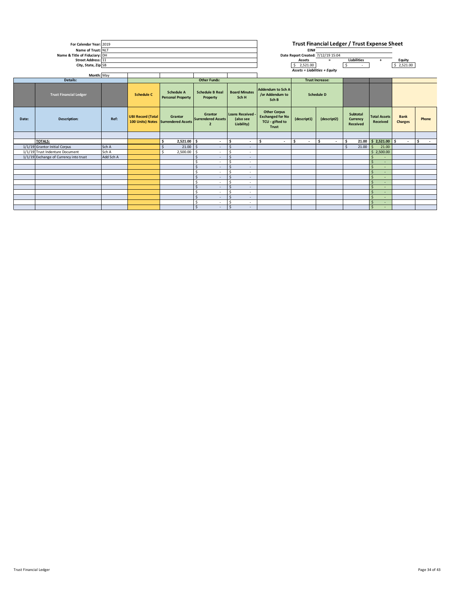| Month: May<br>Details:<br><b>Other Funds:</b><br><b>Trust Increase:</b><br>Addendum to Sch A<br><b>Board Minutes</b><br><b>Schedule A</b><br><b>Schedule B Real</b><br><b>Trust Financial Ledger</b><br><b>Schedule C</b><br>/or Addendum to<br><b>Schedule D</b><br><b>Personal Property</b><br>Sch H<br>Property<br>Sch B<br><b>Other Corpus</b><br><b>Loans Received</b><br>Subtotal<br>Grantor<br><b>Exchanged for No</b><br><b>UBI Record (Total</b><br><b>Total Assets</b><br>Grantor<br><b>Bank</b><br>(descript1)<br>Ref:<br>(descript2)<br>Currency<br>Phone<br><b>Description:</b><br><b>Surrendered Assets</b><br>(also see<br>Date:<br>TCU - gifted to<br>100 Units) Notes Surrendered Assets<br>Received<br>Charges<br>Liability)<br>Received<br>$\overline{2}$<br>Trust<br><b>TOTALS:</b><br>l s<br>l\$<br>21.00 \$ 2,521.00 \$<br>-\$<br>2,521.00 \$<br>-\$<br>Ŝ.<br>l \$<br>l \$<br>$\sim$<br>$\overline{\phantom{a}}$<br>$\sim$<br>$\sim$<br>$\sim$<br>$\sim$<br>1/1/19 Grantor Initial Corpus<br>$21.00$ \$<br>Sch A<br>$21.00$ \$<br>21.00<br><sub>S</sub><br>$\mathsf{S}$<br>$\sim$<br>$\overline{\phantom{a}}$<br>Sch A<br>1/1/19 Trust Indenture Document<br>2,500.00 \$<br>\$2,500.00<br>S.<br>$\sim$<br>$\overline{\phantom{a}}$<br>1/1/19 Exchange of Currency into trust<br>Add Sch A<br>$\mathsf{S}$<br>$\sim$<br>$\overline{\phantom{a}}$<br>$\mathsf{S}$<br>Ŝ.<br>х.<br>$\sim$<br>$\sim$<br>Ŝ<br>$\sim$<br>$\overline{\phantom{a}}$<br>$\sim$<br>Ś<br>$\mathsf{\hat{S}}$<br>$\sim$<br>$\overline{\phantom{a}}$<br>$\sim$<br>S.<br>$\sim$<br>$\sim$<br>$\sim$<br>$\mathsf{S}$<br>$\sim$<br>$\overline{\phantom{a}}$<br>$\sim$<br>$\mathsf{S}$<br>$\sim$<br>$\overline{\phantom{a}}$<br>۰.<br>$\mathsf{S}$<br>Š.<br>$\sim$<br>$\overline{\phantom{a}}$<br>$\sim$<br>$\mathsf{S}$<br>-Ś<br>$\sim$<br>$\overline{\phantom{a}}$<br>$\sim$ | For Calendar Year: 2019<br>Name of Trust: NLT<br>Name & Title of Fiduciary: DH<br>Street Address: 11<br>City, State, Zip SB |  |  |  |  |        |                               |  | Trust Financial Ledger / Trust Expense Sheet<br>EIN#<br>Date Report Created: 7/12/19 15:04<br><b>Liabilities</b><br>Equity<br>Assets<br>$=$<br>$\ddot{}$<br>l s<br>\$2,521.00<br>\$2,521.00<br><b>Assets = Liabilities + Equity</b> |  |  |                              |  |  |
|-------------------------------------------------------------------------------------------------------------------------------------------------------------------------------------------------------------------------------------------------------------------------------------------------------------------------------------------------------------------------------------------------------------------------------------------------------------------------------------------------------------------------------------------------------------------------------------------------------------------------------------------------------------------------------------------------------------------------------------------------------------------------------------------------------------------------------------------------------------------------------------------------------------------------------------------------------------------------------------------------------------------------------------------------------------------------------------------------------------------------------------------------------------------------------------------------------------------------------------------------------------------------------------------------------------------------------------------------------------------------------------------------------------------------------------------------------------------------------------------------------------------------------------------------------------------------------------------------------------------------------------------------------------------------------------------------------------------------------------------------------------------------------------------------------------------------------------------------------------------|-----------------------------------------------------------------------------------------------------------------------------|--|--|--|--|--------|-------------------------------|--|-------------------------------------------------------------------------------------------------------------------------------------------------------------------------------------------------------------------------------------|--|--|------------------------------|--|--|
|                                                                                                                                                                                                                                                                                                                                                                                                                                                                                                                                                                                                                                                                                                                                                                                                                                                                                                                                                                                                                                                                                                                                                                                                                                                                                                                                                                                                                                                                                                                                                                                                                                                                                                                                                                                                                                                                   |                                                                                                                             |  |  |  |  |        |                               |  |                                                                                                                                                                                                                                     |  |  |                              |  |  |
|                                                                                                                                                                                                                                                                                                                                                                                                                                                                                                                                                                                                                                                                                                                                                                                                                                                                                                                                                                                                                                                                                                                                                                                                                                                                                                                                                                                                                                                                                                                                                                                                                                                                                                                                                                                                                                                                   |                                                                                                                             |  |  |  |  |        |                               |  |                                                                                                                                                                                                                                     |  |  |                              |  |  |
|                                                                                                                                                                                                                                                                                                                                                                                                                                                                                                                                                                                                                                                                                                                                                                                                                                                                                                                                                                                                                                                                                                                                                                                                                                                                                                                                                                                                                                                                                                                                                                                                                                                                                                                                                                                                                                                                   |                                                                                                                             |  |  |  |  |        |                               |  |                                                                                                                                                                                                                                     |  |  |                              |  |  |
|                                                                                                                                                                                                                                                                                                                                                                                                                                                                                                                                                                                                                                                                                                                                                                                                                                                                                                                                                                                                                                                                                                                                                                                                                                                                                                                                                                                                                                                                                                                                                                                                                                                                                                                                                                                                                                                                   |                                                                                                                             |  |  |  |  |        |                               |  |                                                                                                                                                                                                                                     |  |  |                              |  |  |
|                                                                                                                                                                                                                                                                                                                                                                                                                                                                                                                                                                                                                                                                                                                                                                                                                                                                                                                                                                                                                                                                                                                                                                                                                                                                                                                                                                                                                                                                                                                                                                                                                                                                                                                                                                                                                                                                   |                                                                                                                             |  |  |  |  |        |                               |  |                                                                                                                                                                                                                                     |  |  |                              |  |  |
|                                                                                                                                                                                                                                                                                                                                                                                                                                                                                                                                                                                                                                                                                                                                                                                                                                                                                                                                                                                                                                                                                                                                                                                                                                                                                                                                                                                                                                                                                                                                                                                                                                                                                                                                                                                                                                                                   |                                                                                                                             |  |  |  |  |        |                               |  |                                                                                                                                                                                                                                     |  |  |                              |  |  |
|                                                                                                                                                                                                                                                                                                                                                                                                                                                                                                                                                                                                                                                                                                                                                                                                                                                                                                                                                                                                                                                                                                                                                                                                                                                                                                                                                                                                                                                                                                                                                                                                                                                                                                                                                                                                                                                                   |                                                                                                                             |  |  |  |  |        |                               |  |                                                                                                                                                                                                                                     |  |  |                              |  |  |
|                                                                                                                                                                                                                                                                                                                                                                                                                                                                                                                                                                                                                                                                                                                                                                                                                                                                                                                                                                                                                                                                                                                                                                                                                                                                                                                                                                                                                                                                                                                                                                                                                                                                                                                                                                                                                                                                   |                                                                                                                             |  |  |  |  |        |                               |  |                                                                                                                                                                                                                                     |  |  |                              |  |  |
|                                                                                                                                                                                                                                                                                                                                                                                                                                                                                                                                                                                                                                                                                                                                                                                                                                                                                                                                                                                                                                                                                                                                                                                                                                                                                                                                                                                                                                                                                                                                                                                                                                                                                                                                                                                                                                                                   |                                                                                                                             |  |  |  |  |        |                               |  |                                                                                                                                                                                                                                     |  |  |                              |  |  |
|                                                                                                                                                                                                                                                                                                                                                                                                                                                                                                                                                                                                                                                                                                                                                                                                                                                                                                                                                                                                                                                                                                                                                                                                                                                                                                                                                                                                                                                                                                                                                                                                                                                                                                                                                                                                                                                                   |                                                                                                                             |  |  |  |  |        |                               |  |                                                                                                                                                                                                                                     |  |  |                              |  |  |
|                                                                                                                                                                                                                                                                                                                                                                                                                                                                                                                                                                                                                                                                                                                                                                                                                                                                                                                                                                                                                                                                                                                                                                                                                                                                                                                                                                                                                                                                                                                                                                                                                                                                                                                                                                                                                                                                   |                                                                                                                             |  |  |  |  |        |                               |  |                                                                                                                                                                                                                                     |  |  |                              |  |  |
|                                                                                                                                                                                                                                                                                                                                                                                                                                                                                                                                                                                                                                                                                                                                                                                                                                                                                                                                                                                                                                                                                                                                                                                                                                                                                                                                                                                                                                                                                                                                                                                                                                                                                                                                                                                                                                                                   |                                                                                                                             |  |  |  |  |        |                               |  |                                                                                                                                                                                                                                     |  |  |                              |  |  |
|                                                                                                                                                                                                                                                                                                                                                                                                                                                                                                                                                                                                                                                                                                                                                                                                                                                                                                                                                                                                                                                                                                                                                                                                                                                                                                                                                                                                                                                                                                                                                                                                                                                                                                                                                                                                                                                                   |                                                                                                                             |  |  |  |  |        |                               |  |                                                                                                                                                                                                                                     |  |  |                              |  |  |
|                                                                                                                                                                                                                                                                                                                                                                                                                                                                                                                                                                                                                                                                                                                                                                                                                                                                                                                                                                                                                                                                                                                                                                                                                                                                                                                                                                                                                                                                                                                                                                                                                                                                                                                                                                                                                                                                   |                                                                                                                             |  |  |  |  |        |                               |  |                                                                                                                                                                                                                                     |  |  |                              |  |  |
|                                                                                                                                                                                                                                                                                                                                                                                                                                                                                                                                                                                                                                                                                                                                                                                                                                                                                                                                                                                                                                                                                                                                                                                                                                                                                                                                                                                                                                                                                                                                                                                                                                                                                                                                                                                                                                                                   |                                                                                                                             |  |  |  |  |        |                               |  |                                                                                                                                                                                                                                     |  |  |                              |  |  |
|                                                                                                                                                                                                                                                                                                                                                                                                                                                                                                                                                                                                                                                                                                                                                                                                                                                                                                                                                                                                                                                                                                                                                                                                                                                                                                                                                                                                                                                                                                                                                                                                                                                                                                                                                                                                                                                                   |                                                                                                                             |  |  |  |  |        |                               |  |                                                                                                                                                                                                                                     |  |  |                              |  |  |
|                                                                                                                                                                                                                                                                                                                                                                                                                                                                                                                                                                                                                                                                                                                                                                                                                                                                                                                                                                                                                                                                                                                                                                                                                                                                                                                                                                                                                                                                                                                                                                                                                                                                                                                                                                                                                                                                   |                                                                                                                             |  |  |  |  | $\sim$ | Ś<br>$\overline{\phantom{a}}$ |  |                                                                                                                                                                                                                                     |  |  | $\mathsf{\hat{S}}$<br>$\sim$ |  |  |
| Ŝ.<br>$\mathsf{S}$<br>$\sim$<br>$\overline{\phantom{a}}$                                                                                                                                                                                                                                                                                                                                                                                                                                                                                                                                                                                                                                                                                                                                                                                                                                                                                                                                                                                                                                                                                                                                                                                                                                                                                                                                                                                                                                                                                                                                                                                                                                                                                                                                                                                                          |                                                                                                                             |  |  |  |  |        |                               |  |                                                                                                                                                                                                                                     |  |  |                              |  |  |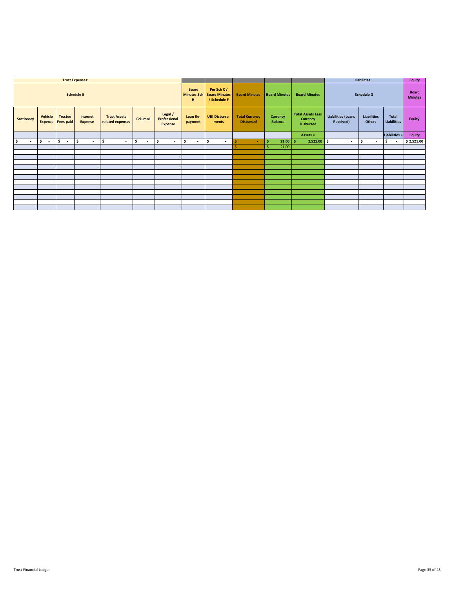|                   |                                     |                | <b>Trust Expenses:</b>          |                                         |               |                                           |                     |                                                         |                                           |                            |                                                          | Liabilities:                           |                                     |                                | <b>Equity</b>                  |
|-------------------|-------------------------------------|----------------|---------------------------------|-----------------------------------------|---------------|-------------------------------------------|---------------------|---------------------------------------------------------|-------------------------------------------|----------------------------|----------------------------------------------------------|----------------------------------------|-------------------------------------|--------------------------------|--------------------------------|
|                   |                                     |                | <b>Schedule E</b>               |                                         |               |                                           | <b>Board</b><br>н   | Per Sch C/<br>Minutes Sch Board Minutes<br>/ Schedule F | <b>Board Minutes</b>                      | <b>Board Minutes</b>       | <b>Board Minutes</b>                                     | <b>Schedule G</b>                      |                                     |                                | <b>Board</b><br><b>Minutes</b> |
| <b>Stationary</b> | Vehicle<br><b>Expense Fees paid</b> | <b>Trustee</b> | Internet<br><b>Expense</b>      | <b>Trust Assets</b><br>related expenses | Column1       | Legal /<br>Professional<br><b>Expense</b> | Loan Re-<br>payment | <b>UBI Disburse-</b><br>ments                           | <b>Total Currency</b><br><b>Disbursed</b> | Currency<br><b>Balance</b> | <b>Total Assets Less</b><br>Currency<br><b>Disbursed</b> | <b>Liabilities (Loans</b><br>Received) | <b>Liabilities</b><br><b>Others</b> | Total<br><b>Liabilities</b>    | <b>Equity</b>                  |
|                   |                                     |                |                                 |                                         |               |                                           |                     |                                                         |                                           |                            | Assets $=$                                               |                                        |                                     | Liabilities +                  | <b>Equity</b>                  |
| -\$               | ۱\$<br>$\sim$ $-$                   | l \$<br>$\sim$ | \$.<br>$\overline{\phantom{a}}$ | \$.<br>$\sim$                           | -\$<br>$\sim$ | \$<br>$\overline{\phantom{a}}$            | ۱\$<br>$\sim$       | \$.<br>$\overline{a}$                                   | Ŝ<br>٠                                    | $21.00$ \$                 | $2,521.00$ \$                                            |                                        | - S<br>$\overline{\phantom{a}}$     | \$<br>$\overline{\phantom{a}}$ | \$2,521.00                     |
|                   |                                     |                |                                 |                                         |               |                                           |                     |                                                         | ÷                                         | 21.00                      |                                                          |                                        |                                     |                                |                                |
|                   |                                     |                |                                 |                                         |               |                                           |                     |                                                         |                                           |                            |                                                          |                                        |                                     |                                |                                |
|                   |                                     |                |                                 |                                         |               |                                           |                     |                                                         |                                           |                            |                                                          |                                        |                                     |                                |                                |
|                   |                                     |                |                                 |                                         |               |                                           |                     |                                                         |                                           |                            |                                                          |                                        |                                     |                                |                                |
|                   |                                     |                |                                 |                                         |               |                                           |                     |                                                         |                                           |                            |                                                          |                                        |                                     |                                |                                |
|                   |                                     |                |                                 |                                         |               |                                           |                     |                                                         |                                           |                            |                                                          |                                        |                                     |                                |                                |
|                   |                                     |                |                                 |                                         |               |                                           |                     |                                                         |                                           |                            |                                                          |                                        |                                     |                                |                                |
|                   |                                     |                |                                 |                                         |               |                                           |                     |                                                         |                                           |                            |                                                          |                                        |                                     |                                |                                |
|                   |                                     |                |                                 |                                         |               |                                           |                     |                                                         |                                           |                            |                                                          |                                        |                                     |                                |                                |
|                   |                                     |                |                                 |                                         |               |                                           |                     |                                                         |                                           |                            |                                                          |                                        |                                     |                                |                                |
|                   |                                     |                |                                 |                                         |               |                                           |                     |                                                         |                                           |                            |                                                          |                                        |                                     |                                |                                |
|                   |                                     |                |                                 |                                         |               |                                           |                     |                                                         |                                           |                            |                                                          |                                        |                                     |                                |                                |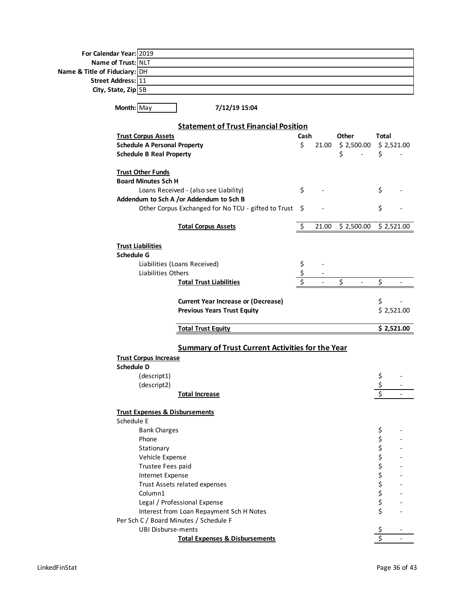| For Calendar Year: 2019                   |                                                         |      |       |            |            |            |
|-------------------------------------------|---------------------------------------------------------|------|-------|------------|------------|------------|
| Name of Trust: NLT                        |                                                         |      |       |            |            |            |
| Name & Title of Fiduciary: DH             |                                                         |      |       |            |            |            |
| Street Address: 11                        |                                                         |      |       |            |            |            |
| City, State, Zip SB                       |                                                         |      |       |            |            |            |
|                                           |                                                         |      |       |            |            |            |
| Month: May                                | 7/12/19 15:04                                           |      |       |            |            |            |
|                                           |                                                         |      |       |            |            |            |
|                                           | <b>Statement of Trust Financial Position</b>            |      |       |            |            |            |
| <b>Trust Corpus Assets</b>                |                                                         | Cash |       | Other      | Total      |            |
| <b>Schedule A Personal Property</b>       |                                                         | \$   | 21.00 | \$2,500.00 | \$2,521.00 |            |
| <b>Schedule B Real Property</b>           |                                                         |      |       | \$         | \$         |            |
|                                           |                                                         |      |       |            |            |            |
| <b>Trust Other Funds</b>                  |                                                         |      |       |            |            |            |
| <b>Board Minutes Sch H</b>                |                                                         |      |       |            |            |            |
|                                           | Loans Received - (also see Liability)                   | \$   |       |            | \$         |            |
|                                           | Addendum to Sch A /or Addendum to Sch B                 |      |       |            |            |            |
|                                           | Other Corpus Exchanged for No TCU - gifted to Trust     | \$   |       |            | \$         |            |
|                                           | <b>Total Corpus Assets</b>                              | \$   | 21.00 | \$2,500.00 |            | \$2,521.00 |
|                                           |                                                         |      |       |            |            |            |
| <b>Trust Liabilities</b>                  |                                                         |      |       |            |            |            |
| <b>Schedule G</b>                         |                                                         |      |       |            |            |            |
|                                           | Liabilities (Loans Received)                            | \$   |       |            |            |            |
| Liabilities Others                        |                                                         |      |       |            |            |            |
|                                           | <b>Total Trust Liabilities</b>                          |      |       | \$         | Ś          |            |
|                                           |                                                         |      |       |            |            |            |
|                                           | <b>Current Year Increase or (Decrease)</b>              |      |       |            | \$         |            |
|                                           | <b>Previous Years Trust Equity</b>                      |      |       |            |            | \$2,521.00 |
|                                           |                                                         |      |       |            |            |            |
|                                           | <b>Total Trust Equity</b>                               |      |       |            |            | \$2,521.00 |
|                                           |                                                         |      |       |            |            |            |
|                                           | <b>Summary of Trust Current Activities for the Year</b> |      |       |            |            |            |
| <b>Trust Corpus Increase</b>              |                                                         |      |       |            |            |            |
| <b>Schedule D</b>                         |                                                         |      |       |            |            |            |
| (descript1)                               |                                                         |      |       |            | \$         |            |
| (descript2)                               |                                                         |      |       |            | \$         |            |
|                                           | <b>Total Increase</b>                                   |      |       |            |            |            |
|                                           |                                                         |      |       |            |            |            |
| <b>Trust Expenses &amp; Disbursements</b> |                                                         |      |       |            |            |            |
| Schedule E                                |                                                         |      |       |            |            |            |
| <b>Bank Charges</b>                       |                                                         |      |       |            | \$         |            |
| Phone                                     |                                                         |      |       |            |            |            |
| Stationary                                |                                                         |      |       |            |            |            |
| Vehicle Expense                           |                                                         |      |       |            |            |            |
| Trustee Fees paid                         |                                                         |      |       |            | ややややや ややや  |            |
| Internet Expense                          |                                                         |      |       |            |            |            |
|                                           | Trust Assets related expenses                           |      |       |            |            |            |
| Column1                                   |                                                         |      |       |            |            |            |
|                                           | Legal / Professional Expense                            |      |       |            |            |            |
|                                           | Interest from Loan Repayment Sch H Notes                |      |       |            | \$         |            |
| Per Sch C / Board Minutes / Schedule F    |                                                         |      |       |            |            |            |
| <b>UBI Disburse-ments</b>                 |                                                         |      |       |            |            |            |
|                                           | <b>Total Expenses &amp; Disbursements</b>               |      |       |            |            |            |
|                                           |                                                         |      |       |            |            |            |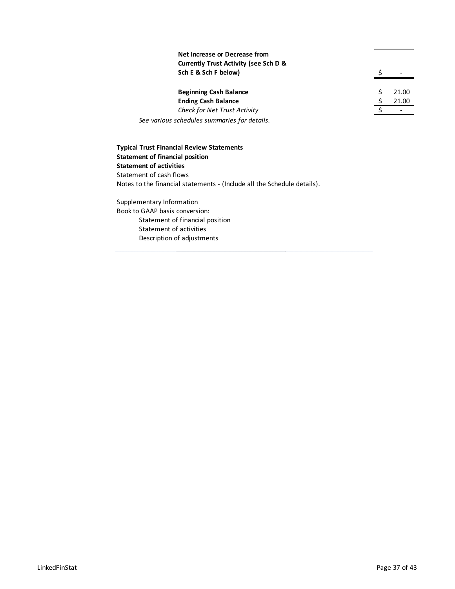| Net Increase or Decrease from                    |       |
|--------------------------------------------------|-------|
| <b>Currently Trust Activity (see Sch D &amp;</b> |       |
| Sch E & Sch F below)                             |       |
| <b>Beginning Cash Balance</b>                    | 21.00 |
| <b>Ending Cash Balance</b>                       | 21.00 |
| <b>Check for Net Trust Activity</b>              |       |
| See various schedules summaries for details.     |       |

**Typical Trust Financial Review Statements Statement of financial position Statement of activities** Statement of cash flows Notes to the financial statements - (Include all the Schedule details).

Supplementary Information Book to GAAP basis conversion: Statement of financial position Statement of activities Description of adjustments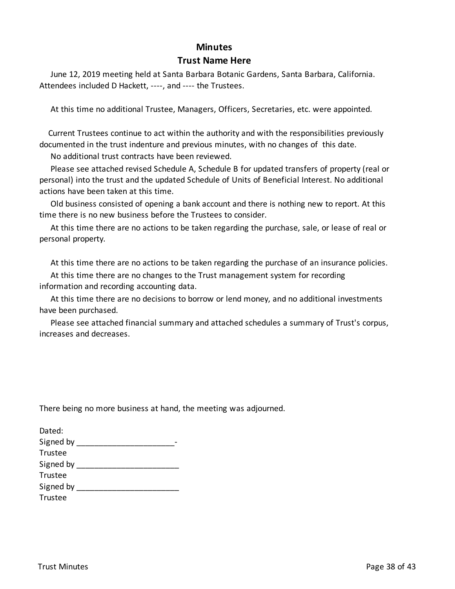#### **Minutes**

#### **Trust Name Here**

 June 12, 2019 meeting held at Santa Barbara Botanic Gardens, Santa Barbara, California. Attendees included D Hackett, ----, and ---- the Trustees.

At this time no additional Trustee, Managers, Officers, Secretaries, etc. were appointed.

 Current Trustees continue to act within the authority and with the responsibilities previously documented in the trust indenture and previous minutes, with no changes of this date.

No additional trust contracts have been reviewed.

 Please see attached revised Schedule A, Schedule B for updated transfers of property (real or personal) into the trust and the updated Schedule of Units of Beneficial Interest. No additional actions have been taken at this time.

 Old business consisted of opening a bank account and there is nothing new to report. At this time there is no new business before the Trustees to consider.

 At this time there are no actions to be taken regarding the purchase, sale, or lease of real or personal property.

At this time there are no actions to be taken regarding the purchase of an insurance policies.

 At this time there are no changes to the Trust management system for recording information and recording accounting data.

 At this time there are no decisions to borrow or lend money, and no additional investments have been purchased.

 Please see attached financial summary and attached schedules a summary of Trust's corpus, increases and decreases.

There being no more business at hand, the meeting was adjourned.

| Dated:    |  |
|-----------|--|
| Signed by |  |
| Trustee   |  |
| Signed by |  |
| Trustee   |  |
| Signed by |  |
| Trustee   |  |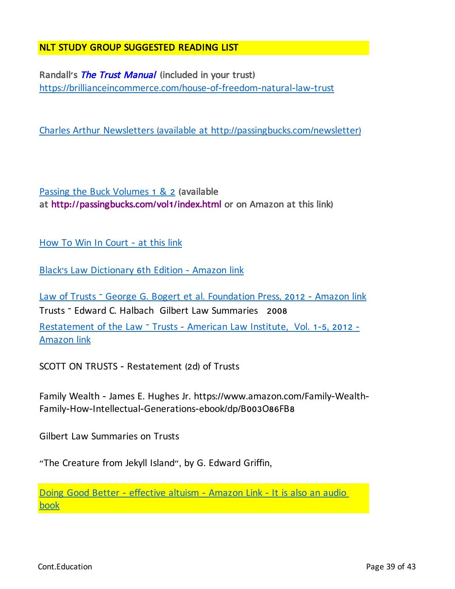## NLT STUDY GROUP SUGGESTED READING LIST

Randall**'**s The Trust Manual **(**included in your trust**)** https://brillianceincommerce.com/house-of-freedom-natural-law-trust

Charles Arthur Newsletters (available at http://passingbucks.com/newsletter)

Passing the Buck Volumes 1 & 2 **(**available at http**://**passingbucks**.**com**/**vol**1/**index**.**html or on Amazon at this link**)**

How To Win In Court - at this link

Black's Law Dictionary 6th Edition - Amazon link

Law of Trusts – George G. Bogert et al. Foundation Press, 2012 - Amazon link Trusts – Edward C. Halbach Gilbert Law Summaries 2008 Restatement of the Law - Trusts - American Law Institute, Vol. 1-5, 2012 -Amazon link

SCOTT ON TRUSTS - Restatement (2d) of Trusts

Family Wealth - James E. Hughes Jr. https://www.amazon.com/Family-Wealth-Family-How-Intellectual-Generations-ebook/dp/B003O86FB8

Gilbert Law Summaries on Trusts

"The Creature from Jekyll Island", by G. Edward Griffin,

Doing Good Better - effective altuism - Amazon Link - It is also an audio book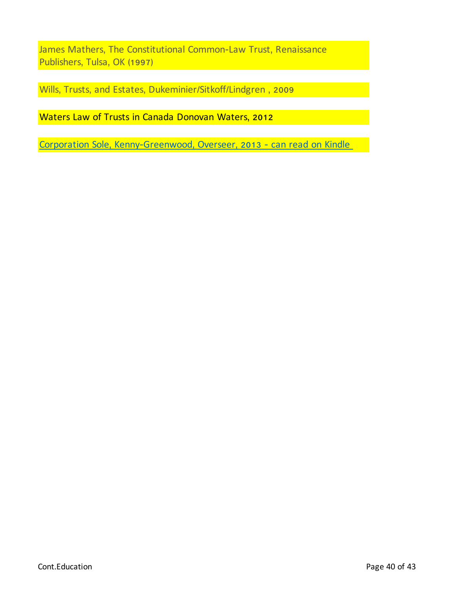James Mathers, The Constitutional Common-Law Trust, Renaissance Publishers, Tulsa, OK (1997)

Wills, Trusts, and Estates, Dukeminier/Sitkoff/Lindgren , 2009

Waters Law of Trusts in Canada Donovan Waters, 2012

Corporation Sole, Kenny-Greenwood, Overseer, 2013 - can read on Kindle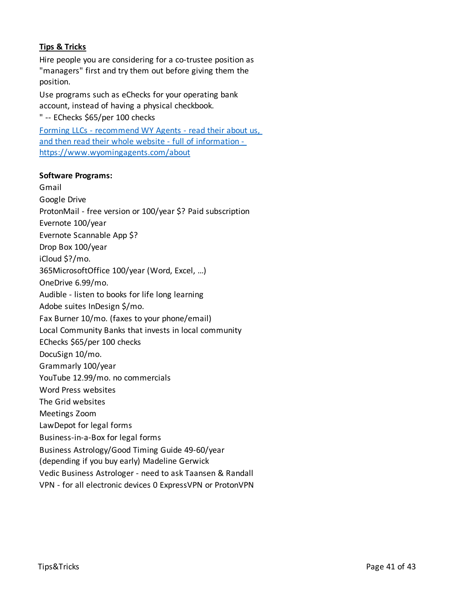### **Tips & Tricks**

Hire people you are considering for a co-trustee position as "managers" first and try them out before giving them the position.

Use programs such as eChecks for your operating bank account, instead of having a physical checkbook.

" -- EChecks \$65/per 100 checks

Forming LLCs - recommend WY Agents - read their about us, and then read their whole website - full of information https://www.wyomingagents.com/about

#### **Software Programs:**

Gmail Google Drive ProtonMail - free version or 100/year \$? Paid subscription Evernote 100/year Evernote Scannable App \$? Drop Box 100/year iCloud \$?/mo. 365MicrosoftOffice 100/year (Word, Excel, …) OneDrive 6.99/mo. Audible - listen to books for life long learning Adobe suites InDesign \$/mo. Fax Burner 10/mo. (faxes to your phone/email) Local Community Banks that invests in local community EChecks \$65/per 100 checks DocuSign 10/mo. Grammarly 100/year YouTube 12.99/mo. no commercials Word Press websites The Grid websites Meetings Zoom LawDepot for legal forms Business-in-a-Box for legal forms Business Astrology/Good Timing Guide 49-60/year (depending if you buy early) Madeline Gerwick Vedic Business Astrologer - need to ask Taansen & Randall VPN - for all electronic devices 0 ExpressVPN or ProtonVPN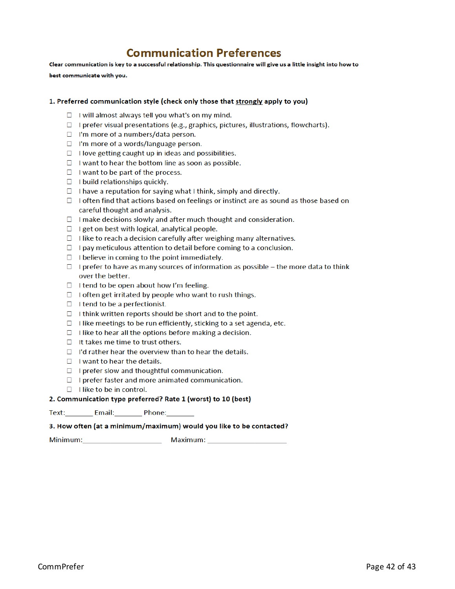# **Communication Preferences**

Clear communication is key to a successful relationship. This questionnaire will give us a little insight into how to

best communicate with you.

#### 1. Preferred communication style (check only those that strongly apply to you)

- $\Box$  I will almost always tell you what's on my mind.
- $\Box$  I prefer visual presentations (e.g., graphics, pictures, illustrations, flowcharts).
- $\Box$  I'm more of a numbers/data person.
- $\Box$  I'm more of a words/language person.
- $\Box$  I love getting caught up in ideas and possibilities.
- $\Box$  I want to hear the bottom line as soon as possible.
- $\Box$  I want to be part of the process.
- $\Box$  I build relationships quickly.
- $\Box$  I have a reputation for saying what I think, simply and directly.
- $\Box$  I often find that actions based on feelings or instinct are as sound as those based on careful thought and analysis.
- $\Box$  I make decisions slowly and after much thought and consideration.
- $\Box$  I get on best with logical, analytical people.
- $\Box$  I like to reach a decision carefully after weighing many alternatives.
- $\Box$  I pay meticulous attention to detail before coming to a conclusion.
- $\Box$  I believe in coming to the point immediately.
- $\Box$  I prefer to have as many sources of information as possible the more data to think over the better.
- $\Box$  I tend to be open about how I'm feeling.
- $\Box$  I often get irritated by people who want to rush things.
- $\Box$  I tend to be a perfectionist.
- $\Box$  I think written reports should be short and to the point.
- $\Box$  I like meetings to be run efficiently, sticking to a set agenda, etc.
- $\Box$  I like to hear all the options before making a decision.
- $\Box$  It takes me time to trust others.
- $\Box$  I'd rather hear the overview than to hear the details.
- $\Box$  I want to hear the details.
- $\Box$  I prefer slow and thoughtful communication.
- $\Box$  I prefer faster and more animated communication.
- $\Box$  I like to be in control.

#### 2. Communication type preferred? Rate 1 (worst) to 10 (best)

#### 3. How often (at a minimum/maximum) would you like to be contacted?